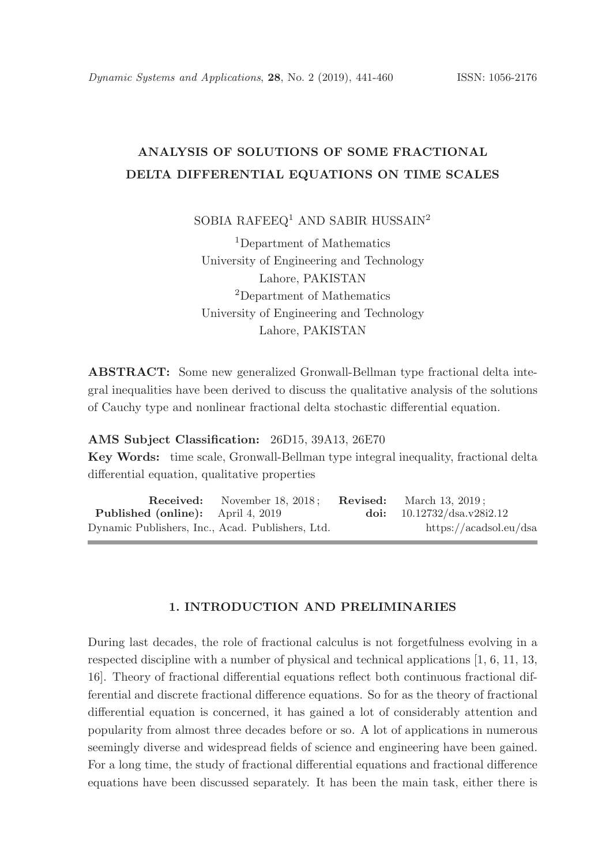# ANALYSIS OF SOLUTIONS OF SOME FRACTIONAL DELTA DIFFERENTIAL EQUATIONS ON TIME SCALES

SOBIA RAFEEQ<sup>1</sup> AND SABIR HUSSAIN<sup>2</sup>

<sup>1</sup>Department of Mathematics University of Engineering and Technology Lahore, PAKISTAN <sup>2</sup>Department of Mathematics University of Engineering and Technology Lahore, PAKISTAN

ABSTRACT: Some new generalized Gronwall-Bellman type fractional delta integral inequalities have been derived to discuss the qualitative analysis of the solutions of Cauchy type and nonlinear fractional delta stochastic differential equation.

AMS Subject Classification: 26D15, 39A13, 26E70

Key Words: time scale, Gronwall-Bellman type integral inequality, fractional delta differential equation, qualitative properties

Received: November 18, 2018; Revised: March 13, 2019; Published (online): April 4, 2019 doi: 10.12732/dsa.v28i2.12 Dynamic Publishers, Inc., Acad. Publishers, Ltd. https://acadsol.eu/dsa

## 1. INTRODUCTION AND PRELIMINARIES

During last decades, the role of fractional calculus is not forgetfulness evolving in a respected discipline with a number of physical and technical applications [1, 6, 11, 13, 16]. Theory of fractional differential equations reflect both continuous fractional differential and discrete fractional difference equations. So for as the theory of fractional differential equation is concerned, it has gained a lot of considerably attention and popularity from almost three decades before or so. A lot of applications in numerous seemingly diverse and widespread fields of science and engineering have been gained. For a long time, the study of fractional differential equations and fractional difference equations have been discussed separately. It has been the main task, either there is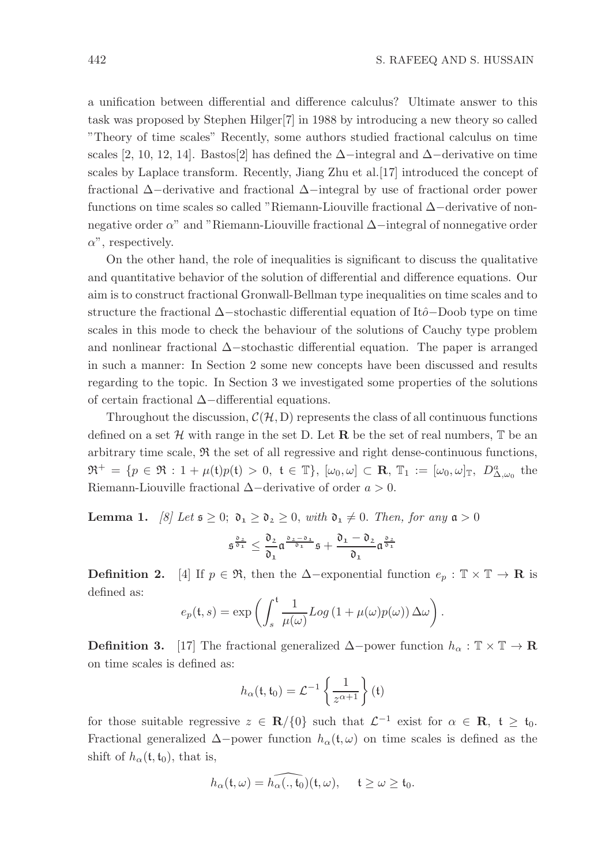a unification between differential and difference calculus? Ultimate answer to this task was proposed by Stephen Hilger[7] in 1988 by introducing a new theory so called "Theory of time scales" Recently, some authors studied fractional calculus on time scales [2, 10, 12, 14]. Bastos[2] has defined the  $\Delta$ −integral and  $\Delta$ −derivative on time scales by Laplace transform. Recently, Jiang Zhu et al.[17] introduced the concept of fractional ∆−derivative and fractional ∆−integral by use of fractional order power functions on time scales so called "Riemann-Liouville fractional ∆−derivative of nonnegative order α" and "Riemann-Liouville fractional ∆−integral of nonnegative order  $\alpha$ ", respectively.

On the other hand, the role of inequalities is significant to discuss the qualitative and quantitative behavior of the solution of differential and difference equations. Our aim is to construct fractional Gronwall-Bellman type inequalities on time scales and to structure the fractional  $\Delta$ −stochastic differential equation of Itô−Doob type on time scales in this mode to check the behaviour of the solutions of Cauchy type problem and nonlinear fractional ∆−stochastic differential equation. The paper is arranged in such a manner: In Section 2 some new concepts have been discussed and results regarding to the topic. In Section 3 we investigated some properties of the solutions of certain fractional ∆−differential equations.

Throughout the discussion,  $\mathcal{C}(\mathcal{H}, D)$  represents the class of all continuous functions defined on a set  $\mathcal H$  with range in the set D. Let **R** be the set of real numbers,  $\mathbb T$  be an arbitrary time scale,  $\Re$  the set of all regressive and right dense-continuous functions,  $\mathfrak{R}^+ = \{ p \in \mathfrak{R} : 1 + \mu(\mathfrak{t})p(\mathfrak{t}) > 0, \ \mathfrak{t} \in \mathbb{T} \}, \ [\omega_0, \omega] \subset \mathbb{R}, \ \mathbb{T}_1 := [\omega_0, \omega]_{\mathbb{T}}, \ D_{\Delta, \omega_0}^a$  the Riemann-Liouville fractional  $\Delta$ −derivative of order  $a > 0$ .

**Lemma 1.** [8] Let  $\mathfrak{s} \geq 0$ ;  $\mathfrak{d}_1 \geq \mathfrak{d}_2 \geq 0$ , with  $\mathfrak{d}_1 \neq 0$ . Then, for any  $\mathfrak{a} > 0$ 

$$
\mathfrak{s}^{\frac{\mathfrak{d}_2}{\mathfrak{d}_1}} \leq \frac{\mathfrak{d}_2}{\mathfrak{d}_1} \mathfrak{a}^{\frac{\mathfrak{d}_2 - \mathfrak{d}_1}{\mathfrak{d}_1}} \mathfrak{s} + \frac{\mathfrak{d}_1 - \mathfrak{d}_2}{\mathfrak{d}_1} \mathfrak{a}^{\frac{\mathfrak{d}_2}{\mathfrak{d}_1}}
$$

**Definition 2.** [4] If  $p \in \mathfrak{R}$ , then the  $\Delta$ -exponential function  $e_p : \mathbb{T} \times \mathbb{T} \to \mathbb{R}$  is defined as:

$$
e_p(\mathfrak{t},s) = \exp\left(\int_s^{\mathfrak{t}} \frac{1}{\mu(\omega)} Log\left(1 + \mu(\omega)p(\omega)\right) \Delta \omega\right).
$$

**Definition 3.** [17] The fractional generalized  $\Delta$ −power function  $h_{\alpha} : \mathbb{T} \times \mathbb{T} \to \mathbb{R}$ on time scales is defined as:

$$
h_{\alpha}(\mathfrak{t},\mathfrak{t}_{0})=\mathcal{L}^{-1}\left\{\frac{1}{z^{\alpha+1}}\right\}(\mathfrak{t})
$$

for those suitable regressive  $z \in \mathbb{R}/\{0\}$  such that  $\mathcal{L}^{-1}$  exist for  $\alpha \in \mathbb{R}, t \geq t_0$ . Fractional generalized  $\Delta$ −power function  $h_{\alpha}(\mathfrak{t}, \omega)$  on time scales is defined as the shift of  $h_{\alpha}(\mathfrak{t}, \mathfrak{t}_0)$ , that is,

$$
h_{\alpha}(\mathfrak{t},\omega)=\widehat{h_{\alpha}(\cdot,\mathfrak{t}_0)}(\mathfrak{t},\omega),\hspace{15pt}\mathfrak{t}\geq \omega\geq \mathfrak{t}_0.
$$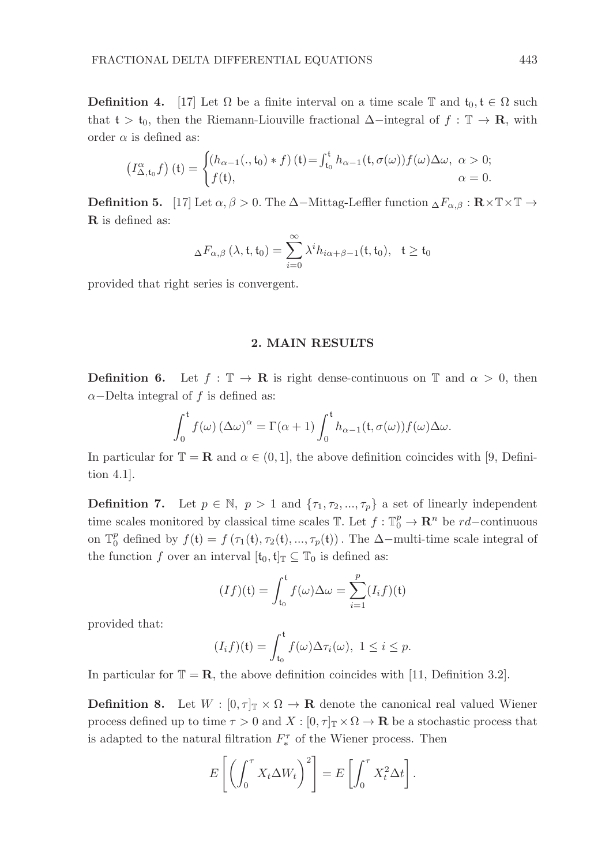**Definition 4.** [17] Let  $\Omega$  be a finite interval on a time scale T and  $t_0, t \in \Omega$  such that t > t<sub>0</sub>, then the Riemann-Liouville fractional  $\Delta$ −integral of  $f : \mathbb{T} \to \mathbb{R}$ , with order  $\alpha$  is defined as:

$$
\left(I_{\Delta, \mathfrak{t}_0}^{\alpha} f\right)(\mathfrak{t}) = \begin{cases} \left(h_{\alpha-1}(., \mathfrak{t}_0) * f\right)(\mathfrak{t}) = \int_{\mathfrak{t}_0}^{\mathfrak{t}} h_{\alpha-1}(\mathfrak{t}, \sigma(\omega)) f(\omega) \Delta \omega, & \alpha > 0; \\ f(\mathfrak{t}), & \alpha = 0. \end{cases}
$$

**Definition 5.** [17] Let  $\alpha, \beta > 0$ . The ∆−Mittag-Leffler function  $\Delta F_{\alpha,\beta} : \mathbf{R} \times \mathbb{T} \times \mathbb{T} \to$ R is defined as:

$$
\Delta F_{\alpha,\beta}\left(\lambda,\mathfrak{t},\mathfrak{t}_0\right)=\sum_{i=0}^{\infty}\lambda^i h_{i\alpha+\beta-1}(\mathfrak{t},\mathfrak{t}_0),\quad \mathfrak{t}\geq \mathfrak{t}_0
$$

provided that right series is convergent.

## 2. MAIN RESULTS

**Definition 6.** Let  $f : \mathbb{T} \to \mathbb{R}$  is right dense-continuous on  $\mathbb{T}$  and  $\alpha > 0$ , then  $\alpha$ –Delta integral of f is defined as:

$$
\int_0^t f(\omega) \left(\Delta \omega\right)^{\alpha} = \Gamma(\alpha+1) \int_0^t h_{\alpha-1}(t, \sigma(\omega)) f(\omega) \Delta \omega.
$$

In particular for  $\mathbb{T} = \mathbb{R}$  and  $\alpha \in (0, 1]$ , the above definition coincides with [9, Definition 4.1].

**Definition 7.** Let  $p \in \mathbb{N}$ ,  $p > 1$  and  $\{\tau_1, \tau_2, ..., \tau_p\}$  a set of linearly independent time scales monitored by classical time scales  $\mathbb{T}$ . Let  $f: \mathbb{T}^p_0 \to \mathbb{R}^n$  be  $rd$ -continuous on  $\mathbb{T}_0^p$  defined by  $f(t) = f(\tau_1(t), \tau_2(t), ..., \tau_p(t))$ . The ∆-multi-time scale integral of the function f over an interval  $[t_0, t]_T \subseteq T_0$  is defined as:

$$
(If)(\mathfrak{t}) = \int_{\mathfrak{t}_0}^{\mathfrak{t}} f(\omega) \Delta \omega = \sum_{i=1}^{p} (I_i f)(\mathfrak{t})
$$

provided that:

$$
(I_i f)(\mathfrak{t}) = \int_{\mathfrak{t}_0}^{\mathfrak{t}} f(\omega) \Delta \tau_i(\omega), \ 1 \leq i \leq p.
$$

In particular for  $\mathbb{T} = \mathbb{R}$ , the above definition coincides with [11, Definition 3.2].

**Definition 8.** Let  $W : [0, \tau]_{\mathbb{T}} \times \Omega \to \mathbb{R}$  denote the canonical real valued Wiener process defined up to time  $\tau > 0$  and  $X : [0, \tau]_{\mathbb{T}} \times \Omega \to \mathbb{R}$  be a stochastic process that is adapted to the natural filtration  $F_*^{\tau}$  of the Wiener process. Then

$$
E\left[\left(\int_0^{\tau} X_t \Delta W_t\right)^2\right] = E\left[\int_0^{\tau} X_t^2 \Delta t\right].
$$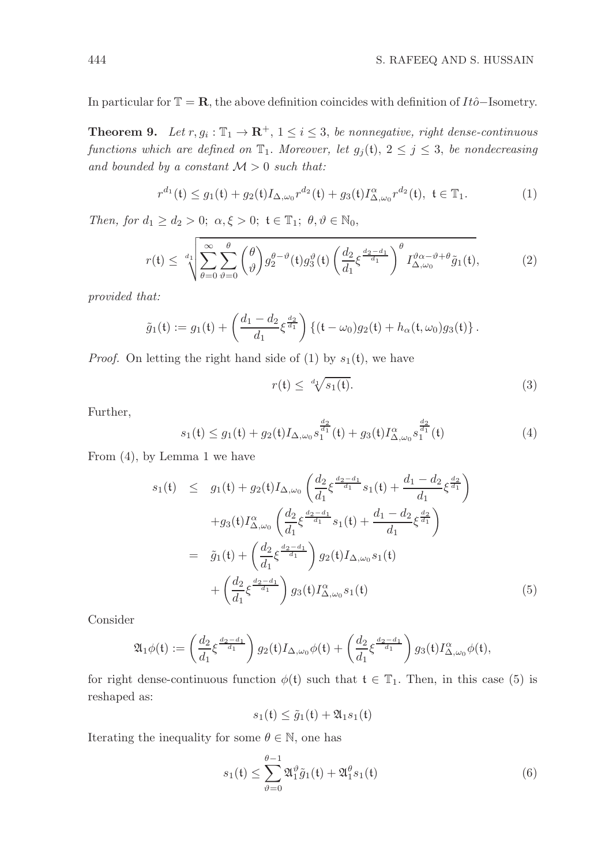In particular for  $\mathbb{T} = \mathbb{R}$ , the above definition coincides with definition of Itô−Isometry.

**Theorem 9.** Let  $r, g_i : \mathbb{T}_1 \to \mathbb{R}^+, 1 \leq i \leq 3$ , be nonnegative, right dense-continuous functions which are defined on  $\mathbb{T}_1$ . Moreover, let  $g_j(t)$ ,  $2 \leq j \leq 3$ , be nondecreasing and bounded by a constant  $M > 0$  such that:

$$
r^{d_1}(\mathfrak{t}) \le g_1(\mathfrak{t}) + g_2(\mathfrak{t}) I_{\Delta,\omega_0} r^{d_2}(\mathfrak{t}) + g_3(\mathfrak{t}) I_{\Delta,\omega_0}^{\alpha} r^{d_2}(\mathfrak{t}), \ \mathfrak{t} \in \mathbb{T}_1. \tag{1}
$$

Then, for  $d_1 \geq d_2 > 0$ ;  $\alpha, \xi > 0$ ;  $\mathfrak{t} \in \mathbb{T}_1$ ;  $\theta, \vartheta \in \mathbb{N}_0$ ,

$$
r(\mathfrak{t}) \leq \sqrt[d_1]{\sum_{\theta=0}^{\infty} \sum_{\vartheta=0}^{\theta} {\theta \choose \vartheta} g_2^{\theta-\vartheta}(\mathfrak{t}) g_3^{\vartheta}(\mathfrak{t}) \left(\frac{d_2}{d_1} \xi^{\frac{d_2-d_1}{d_1}}\right)^{\theta} I_{\Delta,\omega_0}^{\vartheta \alpha-\vartheta+\theta} \tilde{g}_1(\mathfrak{t})},\tag{2}
$$

provided that:

$$
\tilde{g}_1(\mathfrak{t}) := g_1(\mathfrak{t}) + \left(\frac{d_1 - d_2}{d_1} \xi^{\frac{d_2}{d_1}}\right) \left\{ (\mathfrak{t} - \omega_0) g_2(\mathfrak{t}) + h_\alpha(\mathfrak{t}, \omega_0) g_3(\mathfrak{t}) \right\}.
$$

*Proof.* On letting the right hand side of (1) by  $s_1(t)$ , we have

$$
r(\mathfrak{t}) \leq \sqrt[d_1]{s_1(\mathfrak{t})}.\tag{3}
$$

Further,

$$
s_1(\mathfrak{t}) \le g_1(\mathfrak{t}) + g_2(\mathfrak{t}) I_{\Delta,\omega_0} s_1^{\frac{d_2}{d_1}}(\mathfrak{t}) + g_3(\mathfrak{t}) I_{\Delta,\omega_0}^{\alpha} s_1^{\frac{d_2}{d_1}}(\mathfrak{t})
$$
\n<sup>(4)</sup>

From (4), by Lemma 1 we have

$$
s_1(t) \leq g_1(t) + g_2(t)I_{\Delta,\omega_0}\left(\frac{d_2}{d_1}\xi^{\frac{d_2-d_1}{d_1}}s_1(t) + \frac{d_1-d_2}{d_1}\xi^{\frac{d_2}{d_1}}\right) + g_3(t)I_{\Delta,\omega_0}^{\alpha}\left(\frac{d_2}{d_1}\xi^{\frac{d_2-d_1}{d_1}}s_1(t) + \frac{d_1-d_2}{d_1}\xi^{\frac{d_2}{d_1}}\right) = \tilde{g}_1(t) + \left(\frac{d_2}{d_1}\xi^{\frac{d_2-d_1}{d_1}}\right)g_2(t)I_{\Delta,\omega_0}s_1(t) + \left(\frac{d_2}{d_1}\xi^{\frac{d_2-d_1}{d_1}}\right)g_3(t)I_{\Delta,\omega_0}^{\alpha}s_1(t)
$$
(5)

Consider

$$
\mathfrak{A}_1\phi(\mathfrak{t}) := \left(\frac{d_2}{d_1}\xi^{\frac{d_2-d_1}{d_1}}\right)g_2(\mathfrak{t})I_{\Delta,\omega_0}\phi(\mathfrak{t}) + \left(\frac{d_2}{d_1}\xi^{\frac{d_2-d_1}{d_1}}\right)g_3(\mathfrak{t})I_{\Delta,\omega_0}^{\alpha}\phi(\mathfrak{t}),
$$

for right dense-continuous function  $\phi(\mathfrak{t})$  such that  $\mathfrak{t} \in \mathbb{T}_1$ . Then, in this case (5) is reshaped as:

 $s_1(t) < \tilde{q}_1(t) + \mathfrak{A}_{1} s_1(t)$ 

Iterating the inequality for some  $\theta \in \mathbb{N}$ , one has

$$
s_1(\mathfrak{t}) \le \sum_{\vartheta=0}^{\theta-1} \mathfrak{A}_1^{\vartheta} \tilde{g}_1(\mathfrak{t}) + \mathfrak{A}_1^{\theta} s_1(\mathfrak{t}) \tag{6}
$$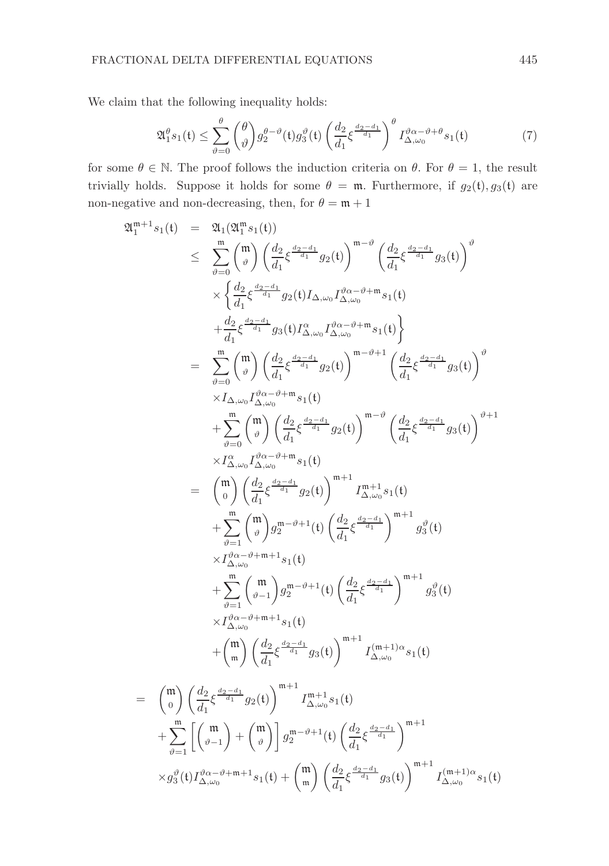We claim that the following inequality holds:

$$
\mathfrak{A}_{1}^{\theta}s_{1}(\mathfrak{t}) \leq \sum_{\vartheta=0}^{\theta} \binom{\theta}{\vartheta} g_{2}^{\theta-\vartheta}(\mathfrak{t}) g_{3}^{\vartheta}(\mathfrak{t}) \left(\frac{d_{2}}{d_{1}} \xi^{\frac{d_{2}-d_{1}}{d_{1}}}\right)^{\theta} I_{\Delta,\omega_{0}}^{\vartheta\alpha-\vartheta+\theta}s_{1}(\mathfrak{t})
$$
\n<sup>(7)</sup>

for some  $\theta \in \mathbb{N}$ . The proof follows the induction criteria on  $\theta$ . For  $\theta = 1$ , the result trivially holds. Suppose it holds for some  $\theta = \mathfrak{m}$ . Furthermore, if  $g_2(t), g_3(t)$  are non-negative and non-decreasing, then, for  $\theta = \mathfrak{m} + 1$ 

$$
2I_{1}^{m+1}s_{1}(t) = 2I_{1}(2I_{1}^{m}s_{1}(t))
$$
\n
$$
\leq \sum_{\vartheta=0}^{m} {m \choose \vartheta} \left(\frac{d_{2}}{d_{1}} \xi^{\frac{d_{2}-d_{1}}{d_{1}}} g_{2}(t)\right)^{m-\vartheta} \left(\frac{d_{2}}{d_{1}} \xi^{\frac{d_{2}-d_{1}}{d_{1}}} g_{3}(t)\right)^{\vartheta}
$$
\n
$$
\times \left\{\frac{d_{2}}{d_{1}} \xi^{\frac{d_{2}-d_{1}}{d_{1}}} g_{2}(t) I_{\Delta,\omega_{0}} I_{\Delta,\omega_{0}}^{\partial \alpha-\vartheta+m} s_{1}(t)\right.
$$
\n
$$
+ \frac{d_{2}}{d_{1}} \xi^{\frac{d_{2}-d_{1}}{d_{1}}} g_{3}(t) I_{\Delta,\omega_{0}}^{\alpha} I_{\Delta,\omega_{0}}^{\partial \alpha-\vartheta+m} s_{1}(t)\right\}
$$
\n
$$
= \sum_{\vartheta=0}^{m} {m \choose \vartheta} \left(\frac{d_{2}}{d_{1}} \xi^{\frac{d_{2}-d_{1}}{d_{1}}} g_{2}(t)\right)^{m-\vartheta+1} \left(\frac{d_{2}}{d_{1}} \xi^{\frac{d_{2}-d_{1}}{d_{1}}} g_{3}(t)\right)^{\vartheta}
$$
\n
$$
\times I_{\Delta,\omega_{0}} I_{\Delta,\omega_{0}}^{\alpha} I_{\omega}^{\alpha} \right\}
$$
\n
$$
+ \sum_{\vartheta=0}^{m} {m \choose \vartheta} \left(\frac{d_{2}}{d_{1}} \xi^{\frac{d_{2}-d_{1}}{d_{1}}} g_{2}(t)\right)^{m-\vartheta} \left(\frac{d_{2}}{d_{1}} \xi^{\frac{d_{2}-d_{1}}{d_{1}}} g_{3}(t)\right)^{\vartheta+1}
$$
\n
$$
\times I_{\Delta,\omega_{0}}^{\alpha} I_{\Delta,\omega_{0}}^{\alpha} \right\}
$$
\n
$$
= {m \choose 0} \left(\frac{d_{2}}{d_{1}} \xi^{\frac{d_{2}-d_{1}}{d_{1}}} g_{2}(t)\right)^{m+1} I_{\Delta,\omega_{0}}^{m+\vartheta+1} s_{1}(t)
$$
\n<math display="</math>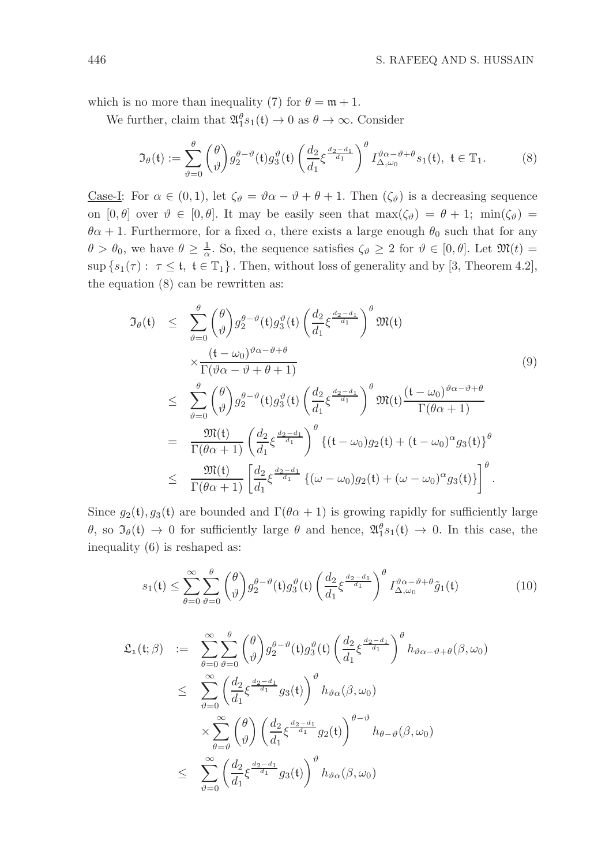which is no more than inequality (7) for  $\theta = \mathfrak{m} + 1$ .

We further, claim that  $\mathfrak{A}_1^{\theta} s_1(\mathfrak{t}) \to 0$  as  $\theta \to \infty$ . Consider

$$
\mathfrak{I}_{\theta}(\mathfrak{t}) := \sum_{\vartheta=0}^{\theta} \binom{\theta}{\vartheta} g_2^{\theta-\vartheta}(\mathfrak{t}) g_3^{\vartheta}(\mathfrak{t}) \left(\frac{d_2}{d_1} \xi^{\frac{d_2-d_1}{d_1}}\right)^{\theta} I_{\Delta,\omega_0}^{\vartheta \alpha-\vartheta+\theta} s_1(\mathfrak{t}), \ \mathfrak{t} \in \mathbb{T}_1. \tag{8}
$$

<u>Case-I</u>: For  $\alpha \in (0,1)$ , let  $\zeta_{\vartheta} = \vartheta \alpha - \vartheta + \theta + 1$ . Then  $(\zeta_{\vartheta})$  is a decreasing sequence on  $[0, \theta]$  over  $\vartheta \in [0, \theta]$ . It may be easily seen that  $\max(\zeta_{\vartheta}) = \theta + 1$ ;  $\min(\zeta_{\vartheta}) =$  $\theta \alpha + 1$ . Furthermore, for a fixed  $\alpha$ , there exists a large enough  $\theta_0$  such that for any  $\theta > \theta_0$ , we have  $\theta \geq \frac{1}{\alpha}$ . So, the sequence satisfies  $\zeta_{\vartheta} \geq 2$  for  $\vartheta \in [0, \theta]$ . Let  $\mathfrak{M}(t) =$  $\sup \{s_1(\tau): \tau \leq t, t \in \mathbb{T}_1\}$ . Then, without loss of generality and by [3, Theorem 4.2], the equation (8) can be rewritten as:

$$
\mathfrak{I}_{\theta}(\mathfrak{t}) \leq \sum_{\vartheta=0}^{\theta} {\theta \choose \vartheta} g_{2}^{\theta-\vartheta}(\mathfrak{t}) g_{3}^{\vartheta}(\mathfrak{t}) \left(\frac{d_{2}}{d_{1}} \xi^{\frac{d_{2}-d_{1}}{d_{1}}}\right)^{\theta} \mathfrak{M}(\mathfrak{t})
$$
\n
$$
\times \frac{(\mathfrak{t} - \omega_{0})^{\vartheta\alpha-\vartheta+\theta}}{\Gamma(\vartheta\alpha-\vartheta+\theta+1)} \leq \sum_{\vartheta=0}^{\theta} {\theta \choose \vartheta} g_{2}^{\theta-\vartheta}(\mathfrak{t}) g_{3}^{\vartheta}(\mathfrak{t}) \left(\frac{d_{2}}{d_{1}} \xi^{\frac{d_{2}-d_{1}}{d_{1}}}\right)^{\theta} \mathfrak{M}(\mathfrak{t}) \frac{(\mathfrak{t} - \omega_{0})^{\vartheta\alpha-\vartheta+\theta}}{\Gamma(\theta\alpha+1)}
$$
\n
$$
= \frac{\mathfrak{M}(\mathfrak{t})}{\Gamma(\theta\alpha+1)} \left(\frac{d_{2}}{d_{1}} \xi^{\frac{d_{2}-d_{1}}{d_{1}}}\right)^{\theta} \{(\mathfrak{t} - \omega_{0}) g_{2}(\mathfrak{t}) + (\mathfrak{t} - \omega_{0})^{\alpha} g_{3}(\mathfrak{t})\}^{\theta}
$$
\n
$$
\leq \frac{\mathfrak{M}(\mathfrak{t})}{\Gamma(\theta\alpha+1)} \left[\frac{d_{2}}{d_{1}} \xi^{\frac{d_{2}-d_{1}}{d_{1}}} \{(\omega - \omega_{0}) g_{2}(\mathfrak{t}) + (\omega - \omega_{0})^{\alpha} g_{3}(\mathfrak{t})\}\right]^{\theta}.
$$
\n(9)

Since  $g_2(t), g_3(t)$  are bounded and  $\Gamma(\theta \alpha + 1)$  is growing rapidly for sufficiently large θ, so  $\mathfrak{I}_{\theta}(\mathfrak{t}) \to 0$  for sufficiently large θ and hence,  $\mathfrak{A}_1^{\theta} s_1(\mathfrak{t}) \to 0$ . In this case, the inequality (6) is reshaped as:

$$
s_1(\mathfrak{t}) \leq \sum_{\theta=0}^{\infty} \sum_{\vartheta=0}^{\theta} {\theta \choose \vartheta} g_2^{\theta-\vartheta}(\mathfrak{t}) g_3^{\vartheta}(\mathfrak{t}) \left(\frac{d_2}{d_1} \xi^{\frac{d_2-d_1}{d_1}}\right)^{\theta} I_{\Delta,\omega_0}^{\vartheta \alpha-\vartheta+\theta} \tilde{g}_1(\mathfrak{t})
$$
(10)

$$
\mathfrak{L}_{1}(\mathfrak{t};\beta) := \sum_{\theta=0}^{\infty} \sum_{\vartheta=0}^{\theta} {\theta \choose \vartheta} g_{2}^{\theta-\vartheta}(\mathfrak{t}) g_{3}^{\vartheta}(\mathfrak{t}) \left(\frac{d_{2}}{d_{1}} \xi^{\frac{d_{2}-d_{1}}{d_{1}}}\right)^{\theta} h_{\vartheta\alpha-\vartheta+\theta}(\beta,\omega_{0})
$$
\n
$$
\leq \sum_{\vartheta=0}^{\infty} {\left(\frac{d_{2}}{d_{1}} \xi^{\frac{d_{2}-d_{1}}{d_{1}}} g_{3}(\mathfrak{t})\right)^{\vartheta} h_{\vartheta\alpha}(\beta,\omega_{0})}
$$
\n
$$
\times \sum_{\theta=\vartheta}^{\infty} {\theta \choose \vartheta} \left(\frac{d_{2}}{d_{1}} \xi^{\frac{d_{2}-d_{1}}{d_{1}}} g_{2}(\mathfrak{t})\right)^{\theta-\vartheta} h_{\theta-\vartheta}(\beta,\omega_{0})
$$
\n
$$
\leq \sum_{\vartheta=0}^{\infty} {\left(\frac{d_{2}}{d_{1}} \xi^{\frac{d_{2}-d_{1}}{d_{1}}} g_{3}(\mathfrak{t})\right)^{\vartheta} h_{\vartheta\alpha}(\beta,\omega_{0})}
$$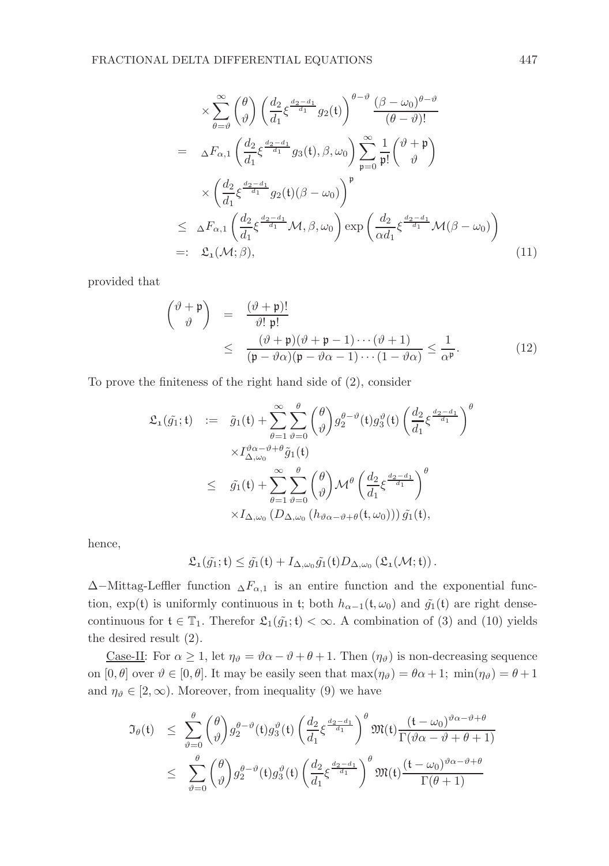$$
\times \sum_{\theta=\vartheta}^{\infty} {\vartheta \choose \vartheta} \left( \frac{d_2}{d_1} \xi^{\frac{d_2-d_1}{d_1}} g_2(\mathbf{t}) \right)^{\theta-\vartheta} \frac{(\beta-\omega_0)^{\theta-\vartheta}}{(\theta-\vartheta)!}
$$
  
\n
$$
= \Delta F_{\alpha,1} \left( \frac{d_2}{d_1} \xi^{\frac{d_2-d_1}{d_1}} g_3(\mathbf{t}), \beta, \omega_0 \right) \sum_{\mathfrak{p}=0}^{\infty} \frac{1}{\mathfrak{p}!} {\vartheta \choose \vartheta}^{\vartheta}
$$
  
\n
$$
\times \left( \frac{d_2}{d_1} \xi^{\frac{d_2-d_1}{d_1}} g_2(\mathbf{t}) (\beta-\omega_0) \right)^{\mathfrak{p}}
$$
  
\n
$$
\leq \Delta F_{\alpha,1} \left( \frac{d_2}{d_1} \xi^{\frac{d_2-d_1}{d_1}} \mathcal{M}, \beta, \omega_0 \right) \exp \left( \frac{d_2}{\alpha d_1} \xi^{\frac{d_2-d_1}{d_1}} \mathcal{M}(\beta-\omega_0) \right)
$$
  
\n
$$
=:\ \mathfrak{L}_1(\mathcal{M}; \beta), \tag{11}
$$

provided that

$$
\begin{aligned}\n\begin{pmatrix}\n\vartheta + \mathfrak{p} \\
\vartheta\n\end{pmatrix} &= \frac{(\vartheta + \mathfrak{p})!}{\vartheta! \mathfrak{p}!} \\
&\leq \frac{(\vartheta + \mathfrak{p})(\vartheta + \mathfrak{p} - 1) \cdots (\vartheta + 1)}{(\mathfrak{p} - \vartheta \alpha)(\mathfrak{p} - \vartheta \alpha - 1) \cdots (1 - \vartheta \alpha)} \leq \frac{1}{\alpha^{\mathfrak{p}}}.\n\end{aligned} \tag{12}
$$

To prove the finiteness of the right hand side of (2), consider

$$
\mathfrak{L}_{1}(\tilde{g}_{1};t) := \tilde{g}_{1}(t) + \sum_{\theta=1}^{\infty} \sum_{\vartheta=0}^{\theta} {\theta \choose \vartheta} g_{2}^{\theta-\vartheta}(t) g_{3}^{\vartheta}(t) \left(\frac{d_{2}}{d_{1}} \xi^{\frac{d_{2}-d_{1}}{d_{1}}}\right)^{\theta}
$$
  
 
$$
\times I_{\Delta,\omega_{0}}^{\vartheta\alpha-\vartheta+\theta} \tilde{g}_{1}(t)
$$
  

$$
\leq \tilde{g}_{1}(t) + \sum_{\theta=1}^{\infty} \sum_{\vartheta=0}^{\theta} {\theta \choose \vartheta} \mathcal{M}^{\theta} \left(\frac{d_{2}}{d_{1}} \xi^{\frac{d_{2}-d_{1}}{d_{1}}}\right)^{\theta}
$$
  

$$
\times I_{\Delta,\omega_{0}} (D_{\Delta,\omega_{0}} (h_{\vartheta\alpha-\vartheta+\theta}(t,\omega_{0}))) \tilde{g}_{1}(t),
$$

hence,

$$
\mathfrak{L}_{\mathbf{1}}(\tilde{g_1}; \mathfrak{t}) \leq \tilde{g_1}(\mathfrak{t}) + I_{\Delta,\omega_0} \tilde{g_1}(\mathfrak{t}) D_{\Delta,\omega_0} \left( \mathfrak{L}_{\mathbf{1}}(\mathcal{M}; \mathfrak{t}) \right).
$$

 $\Delta$ −Mittag-Leffler function  $\Delta F_{\alpha,1}$  is an entire function and the exponential function, exp(t) is uniformly continuous in t; both  $h_{\alpha-1}(t, \omega_0)$  and  $\tilde{g}_1(t)$  are right densecontinuous for  $t \in \mathbb{T}_1$ . Therefor  $\mathfrak{L}_1(\tilde{g}_1; t) < \infty$ . A combination of (3) and (10) yields the desired result (2).

<u>Case-II</u>: For  $\alpha \geq 1$ , let  $\eta_{\vartheta} = \vartheta \alpha - \vartheta + \theta + 1$ . Then  $(\eta_{\vartheta})$  is non-decreasing sequence on  $[0, \theta]$  over  $\vartheta \in [0, \theta]$ . It may be easily seen that  $\max(\eta_{\vartheta}) = \theta \alpha + 1$ ;  $\min(\eta_{\vartheta}) = \theta + 1$ and  $\eta_{\vartheta} \in [2, \infty)$ . Moreover, from inequality (9) we have

$$
\mathfrak{I}_{\theta}(\mathfrak{t}) \leq \sum_{\vartheta=0}^{\theta} {\theta \choose \vartheta} g_{2}^{\theta-\vartheta}(\mathfrak{t}) g_{3}^{\vartheta}(\mathfrak{t}) \left(\frac{d_{2}}{d_{1}} \xi^{\frac{d_{2}-d_{1}}{d_{1}}}\right)^{\theta} \mathfrak{M}(\mathfrak{t}) \frac{(\mathfrak{t}-\omega_{0})^{\vartheta\alpha-\vartheta+\theta}}{\Gamma(\vartheta\alpha-\vartheta+\theta+1)} \n\leq \sum_{\vartheta=0}^{\theta} {\theta \choose \vartheta} g_{2}^{\theta-\vartheta}(\mathfrak{t}) g_{3}^{\vartheta}(\mathfrak{t}) \left(\frac{d_{2}}{d_{1}} \xi^{\frac{d_{2}-d_{1}}{d_{1}}}\right)^{\theta} \mathfrak{M}(\mathfrak{t}) \frac{(\mathfrak{t}-\omega_{0})^{\vartheta\alpha-\vartheta+\theta}}{\Gamma(\theta+1)}
$$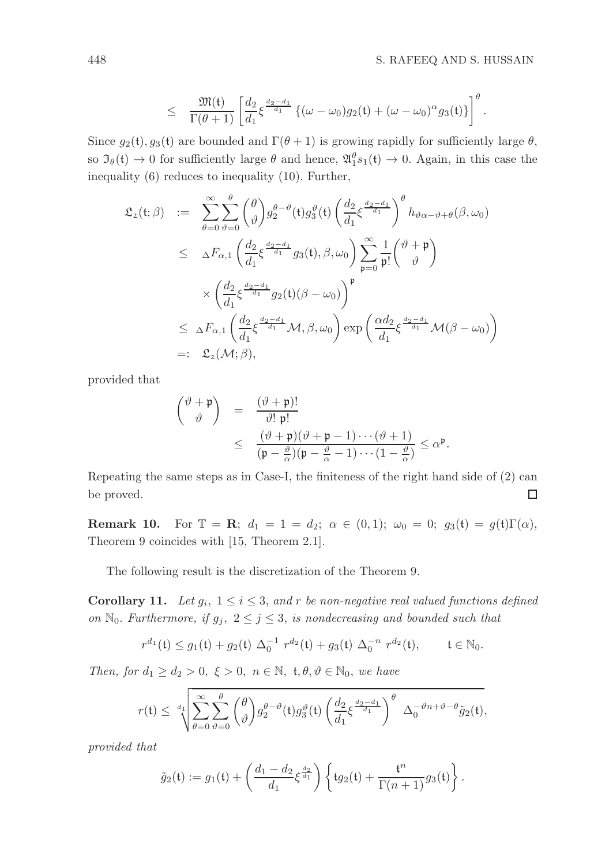$$
\leq \frac{\mathfrak{M}(\mathfrak{t})}{\Gamma(\theta+1)} \left[ \frac{d_2}{d_1} \xi^{\frac{d_2-d_1}{d_1}} \left\{ (\omega-\omega_0)g_2(\mathfrak{t}) + (\omega-\omega_0)^{\alpha} g_3(\mathfrak{t}) \right\} \right]^{\theta}.
$$

Since  $g_2(t)$ ,  $g_3(t)$  are bounded and  $\Gamma(\theta + 1)$  is growing rapidly for sufficiently large  $\theta$ , so  $\mathfrak{I}_{\theta}(\mathfrak{t}) \to 0$  for sufficiently large  $\theta$  and hence,  $\mathfrak{A}_1^{\theta} s_1(\mathfrak{t}) \to 0$ . Again, in this case the inequality (6) reduces to inequality (10). Further,

$$
\mathfrak{L}_{2}(\mathfrak{t};\beta) := \sum_{\theta=0}^{\infty} \sum_{\vartheta=0}^{\theta} {\theta \choose \vartheta} g_{2}^{\theta-\vartheta}(\mathfrak{t}) g_{3}^{\vartheta}(\mathfrak{t}) \left(\frac{d_{2}}{d_{1}} \xi^{\frac{d_{2}-d_{1}}{d_{1}}}\right)^{\theta} h_{\vartheta\alpha-\vartheta+\theta}(\beta,\omega_{0})
$$
\n
$$
\leq \Delta F_{\alpha,1} \left(\frac{d_{2}}{d_{1}} \xi^{\frac{d_{2}-d_{1}}{d_{1}}} g_{3}(\mathfrak{t}),\beta,\omega_{0}\right) \sum_{\mathfrak{p}=0}^{\infty} \frac{1}{\mathfrak{p}!} {\theta \choose \vartheta}^{\theta}
$$
\n
$$
\times \left(\frac{d_{2}}{d_{1}} \xi^{\frac{d_{2}-d_{1}}{d_{1}}} g_{2}(\mathfrak{t}) (\beta-\omega_{0})\right)^{\mathfrak{p}}
$$
\n
$$
\leq \Delta F_{\alpha,1} \left(\frac{d_{2}}{d_{1}} \xi^{\frac{d_{2}-d_{1}}{d_{1}}} \mathcal{M},\beta,\omega_{0}\right) \exp\left(\frac{\alpha d_{2}}{d_{1}} \xi^{\frac{d_{2}-d_{1}}{d_{1}}} \mathcal{M}(\beta-\omega_{0})\right)
$$
\n
$$
=:\ \mathfrak{L}_{2}(\mathcal{M};\beta),
$$

provided that

$$
\begin{array}{rcl}\n\begin{pmatrix}\n\vartheta + \mathfrak{p} \\
\vartheta\n\end{pmatrix} & = & \frac{(\vartheta + \mathfrak{p})!}{\vartheta! \mathfrak{p}!} \\
& \leq & \frac{(\vartheta + \mathfrak{p})(\vartheta + \mathfrak{p} - 1) \cdots (\vartheta + 1)}{(\mathfrak{p} - \frac{\vartheta}{\alpha})(\mathfrak{p} - \frac{\vartheta}{\alpha} - 1) \cdots (1 - \frac{\vartheta}{\alpha})} \leq \alpha^{\mathfrak{p}}.\n\end{array}
$$

Repeating the same steps as in Case-I, the finiteness of the right hand side of (2) can be proved. □

**Remark 10.** For  $\mathbb{T} = \mathbb{R}$ ;  $d_1 = 1 = d_2$ ;  $\alpha \in (0, 1)$ ;  $\omega_0 = 0$ ;  $g_3(t) = g(t)\Gamma(\alpha)$ , Theorem 9 coincides with [15, Theorem 2.1].

The following result is the discretization of the Theorem 9.

**Corollary 11.** Let  $g_i$ ,  $1 \leq i \leq 3$ , and r be non-negative real valued functions defined on  $\mathbb{N}_0$ . Furthermore, if  $g_j$ ,  $2 \leq j \leq 3$ , is nondecreasing and bounded such that

$$
r^{d_1}(\mathfrak{t}) \le g_1(\mathfrak{t}) + g_2(\mathfrak{t}) \ \Delta_0^{-1} \ r^{d_2}(\mathfrak{t}) + g_3(\mathfrak{t}) \ \Delta_0^{-n} \ r^{d_2}(\mathfrak{t}), \qquad \mathfrak{t} \in \mathbb{N}_0.
$$

Then, for  $d_1 \geq d_2 > 0$ ,  $\xi > 0$ ,  $n \in \mathbb{N}$ ,  $t, \theta, \vartheta \in \mathbb{N}_0$ , we have

$$
r(\mathfrak{t}) \leq \sqrt[d_1]{\sum_{\theta=0}^{\infty} \sum_{\vartheta=0}^{\theta} {\theta \choose \vartheta} g_2^{\theta-\vartheta}(\mathfrak{t}) g_3^{\vartheta}(\mathfrak{t}) \left( \frac{d_2}{d_1} \xi^{\frac{d_2-d_1}{d_1}} \right)^{\theta} \Delta_0^{-\vartheta n + \vartheta - \theta} \tilde{g}_2(\mathfrak{t})},
$$

provided that

$$
\tilde{g}_2(\mathfrak{t}) := g_1(\mathfrak{t}) + \left( \frac{d_1 - d_2}{d_1} \xi^{\frac{d_2}{d_1}} \right) \left\{ \mathfrak{t} g_2(\mathfrak{t}) + \frac{\mathfrak{t}^n}{\Gamma(n+1)} g_3(\mathfrak{t}) \right\}.
$$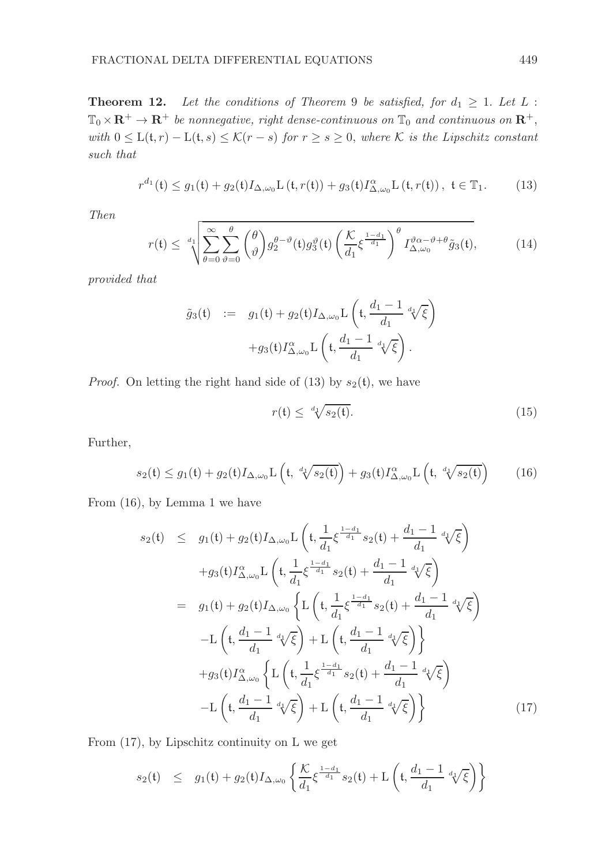**Theorem 12.** Let the conditions of Theorem 9 be satisfied, for  $d_1 \geq 1$ . Let L:  $\mathbb{T}_0 \times \mathbb{R}^+ \to \mathbb{R}^+$  be nonnegative, right dense-continuous on  $\mathbb{T}_0$  and continuous on  $\mathbb{R}^+$ , with  $0 \leq L(t,r) - L(t,s) \leq K(r-s)$  for  $r \geq s \geq 0$ , where K is the Lipschitz constant such that

$$
r^{d_1}(\mathfrak{t}) \le g_1(\mathfrak{t}) + g_2(\mathfrak{t}) I_{\Delta,\omega_0} \mathcal{L}(\mathfrak{t}, r(\mathfrak{t})) + g_3(\mathfrak{t}) I_{\Delta,\omega_0}^{\alpha} \mathcal{L}(\mathfrak{t}, r(\mathfrak{t})) , \ \mathfrak{t} \in \mathbb{T}_1.
$$
 (13)

Then

$$
r(\mathfrak{t}) \leq \sqrt[d_1]{\sum_{\theta=0}^{\infty} \sum_{\vartheta=0}^{\theta} {\theta \choose \vartheta} g_2^{\theta-\vartheta}(\mathfrak{t}) g_3^{\vartheta}(\mathfrak{t}) \left(\frac{\mathcal{K}}{d_1} \xi^{\frac{1-d_1}{d_1}}\right)^{\theta} I_{\Delta,\omega_0}^{\vartheta \alpha-\vartheta+\theta} \tilde{g}_3(\mathfrak{t})},\tag{14}
$$

provided that

$$
\tilde{g}_3(\mathfrak{t}) \quad := \quad g_1(\mathfrak{t}) + g_2(\mathfrak{t}) I_{\Delta,\omega_0} \mathcal{L}\left(\mathfrak{t}, \frac{d_1 - 1}{d_1} \sqrt[d_1]{\xi}\right) \\
+ g_3(\mathfrak{t}) I_{\Delta,\omega_0}^{\alpha} \mathcal{L}\left(\mathfrak{t}, \frac{d_1 - 1}{d_1} \sqrt[d_1]{\xi}\right).
$$

*Proof.* On letting the right hand side of (13) by  $s_2(t)$ , we have

$$
r(\mathfrak{t}) \leq \sqrt[d_1]{s_2(\mathfrak{t})}. \tag{15}
$$

Further,

$$
s_2(\mathfrak{t}) \le g_1(\mathfrak{t}) + g_2(\mathfrak{t}) I_{\Delta,\omega_0} \mathcal{L}\left(\mathfrak{t}, \sqrt[d+1]{s_2(\mathfrak{t})}\right) + g_3(\mathfrak{t}) I_{\Delta,\omega_0}^{\alpha} \mathcal{L}\left(\mathfrak{t}, \sqrt[d+1]{s_2(\mathfrak{t})}\right) \tag{16}
$$

From (16), by Lemma 1 we have

$$
s_2(t) \leq g_1(t) + g_2(t)I_{\Delta,\omega_0}L\left(t, \frac{1}{d_1}\xi^{\frac{1-d_1}{d_1}}s_2(t) + \frac{d_1-1}{d_1}d_1\sqrt{\xi}\right) + g_3(t)I_{\Delta,\omega_0}^{\alpha}L\left(t, \frac{1}{d_1}\xi^{\frac{1-d_1}{d_1}}s_2(t) + \frac{d_1-1}{d_1}d_1\sqrt{\xi}\right) = g_1(t) + g_2(t)I_{\Delta,\omega_0}\left\{L\left(t, \frac{1}{d_1}\xi^{\frac{1-d_1}{d_1}}s_2(t) + \frac{d_1-1}{d_1}d_1\sqrt{\xi}\right) - L\left(t, \frac{d_1-1}{d_1}d_1\sqrt{\xi}\right) + L\left(t, \frac{d_1-1}{d_1}d_1\sqrt{\xi}\right)\right\} + g_3(t)I_{\Delta,\omega_0}^{\alpha}\left\{L\left(t, \frac{1}{d_1}\xi^{\frac{1-d_1}{d_1}}s_2(t) + \frac{d_1-1}{d_1}d_1\sqrt{\xi}\right) - L\left(t, \frac{d_1-1}{d_1}d_1\sqrt{\xi}\right) + L\left(t, \frac{d_1-1}{d_1}d_1\sqrt{\xi}\right)\right\}
$$
(17)

From (17), by Lipschitz continuity on L we get

$$
s_2(\mathfrak{t}) \leq g_1(\mathfrak{t}) + g_2(\mathfrak{t}) I_{\Delta,\omega_0} \left\{ \frac{\mathcal{K}}{d_1} \xi^{\frac{1-d_1}{d_1}} s_2(\mathfrak{t}) + \mathcal{L} \left( \mathfrak{t}, \frac{d_1-1}{d_1} \sqrt[d_1]{\xi} \right) \right\}
$$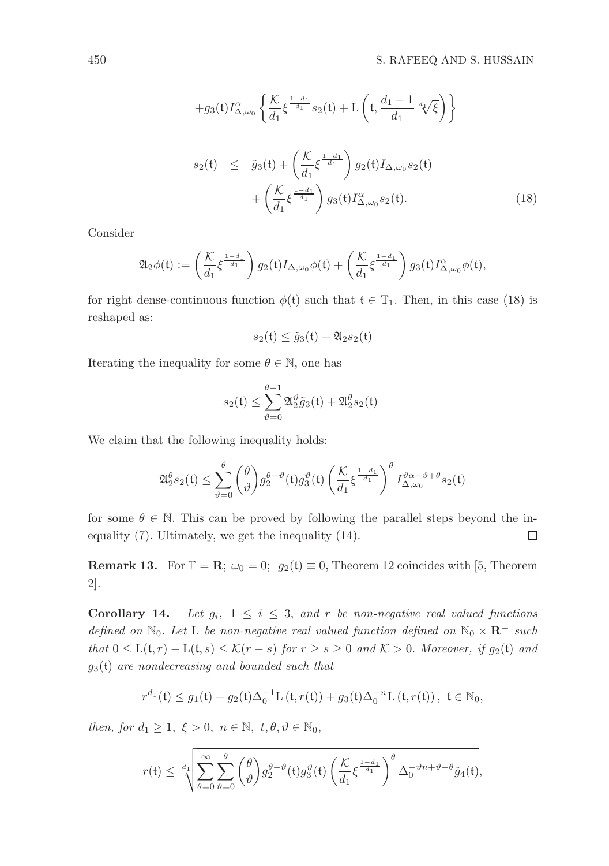$$
+g_3(t)I_{\Delta,\omega_0}^{\alpha} \left\{ \frac{\mathcal{K}}{d_1} \xi^{\frac{1-d_1}{d_1}} s_2(t) + \mathcal{L}\left(t, \frac{d_1 - 1}{d_1} \sqrt[d]{\xi}\right) \right\}
$$
  

$$
s_2(t) \leq \tilde{g}_3(t) + \left(\frac{\mathcal{K}}{d_1} \xi^{\frac{1-d_1}{d_1}}\right) g_2(t) I_{\Delta,\omega_0} s_2(t)
$$

$$
+ \left(\frac{\mathcal{K}}{d_1} \xi^{\frac{1-d_1}{d_1}}\right) g_3(t) I_{\Delta,\omega_0}^{\alpha} s_2(t).
$$
 (18)

Consider

$$
\mathfrak{A}_2 \phi(\mathfrak{t}) := \left( \frac{\mathcal{K}}{d_1} \xi^{\frac{1-d_1}{d_1}} \right) g_2(\mathfrak{t}) I_{\Delta, \omega_0} \phi(\mathfrak{t}) + \left( \frac{\mathcal{K}}{d_1} \xi^{\frac{1-d_1}{d_1}} \right) g_3(\mathfrak{t}) I_{\Delta, \omega_0}^{\alpha} \phi(\mathfrak{t}),
$$

for right dense-continuous function  $\phi(t)$  such that  $t \in \mathbb{T}_1$ . Then, in this case (18) is reshaped as:

$$
s_2(\mathfrak{t}) \le \tilde{g}_3(\mathfrak{t}) + \mathfrak{A}_2 s_2(\mathfrak{t})
$$

Iterating the inequality for some  $\theta \in \mathbb{N}$ , one has

$$
s_2(\mathfrak{t})\leq \sum_{\vartheta=0}^{\theta-1}\mathfrak{A}_2^\vartheta\tilde{g}_3(\mathfrak{t})+\mathfrak{A}_2^\theta s_2(\mathfrak{t})
$$

We claim that the following inequality holds:

$$
\mathfrak{A}_{2}^{\theta}s_{2}(\mathfrak{t}) \leq \sum_{\vartheta=0}^{\theta} {\theta \choose \vartheta} g_{2}^{\theta-\vartheta}(\mathfrak{t}) g_{3}^{\vartheta}(\mathfrak{t}) \left(\frac{\mathcal{K}}{d_{1}} \xi^{\frac{1-d_{1}}{d_{1}}}\right)^{\theta} I_{\Delta,\omega_{0}}^{\vartheta\alpha-\vartheta+\theta}s_{2}(\mathfrak{t})
$$

for some  $\theta \in \mathbb{N}$ . This can be proved by following the parallel steps beyond the inequality (7). Ultimately, we get the inequality (14).  $\Box$ 

**Remark 13.** For  $\mathbb{T} = \mathbb{R}$ ;  $\omega_0 = 0$ ;  $g_2(t) \equiv 0$ , Theorem 12 coincides with [5, Theorem 2].

**Corollary 14.** Let  $g_i$ ,  $1 \leq i \leq 3$ , and r be non-negative real valued functions defined on  $\mathbb{N}_0$ . Let L be non-negative real valued function defined on  $\mathbb{N}_0 \times \mathbb{R}^+$  such that  $0 \leq L(t,r) - L(t,s) \leq K(r-s)$  for  $r \geq s \geq 0$  and  $K > 0$ . Moreover, if  $g_2(t)$  and  $g_3(t)$  are nondecreasing and bounded such that

$$
r^{d_1}(\mathfrak{t}) \le g_1(\mathfrak{t}) + g_2(\mathfrak{t})\Delta_0^{-1} \mathcal{L}(\mathfrak{t}, r(\mathfrak{t})) + g_3(\mathfrak{t})\Delta_0^{-n} \mathcal{L}(\mathfrak{t}, r(\mathfrak{t})) , \ \mathfrak{t} \in \mathbb{N}_0,
$$

then, for  $d_1 \geq 1, \xi > 0, n \in \mathbb{N}, t, \theta, \vartheta \in \mathbb{N}_0$ ,

$$
r(\mathfrak{t}) \leq \sqrt[d_1]{\sum_{\theta=0}^{\infty} \sum_{\vartheta=0}^{\theta} {\theta \choose \vartheta} g_2^{\theta-\vartheta}(\mathfrak{t}) g_3^{\vartheta}(\mathfrak{t}) \left(\frac{\mathcal{K}}{d_1} \xi^{\frac{1-d_1}{d_1}}\right)^{\theta} \Delta_0^{-\vartheta n + \vartheta - \theta} \tilde{g}_4(\mathfrak{t})},
$$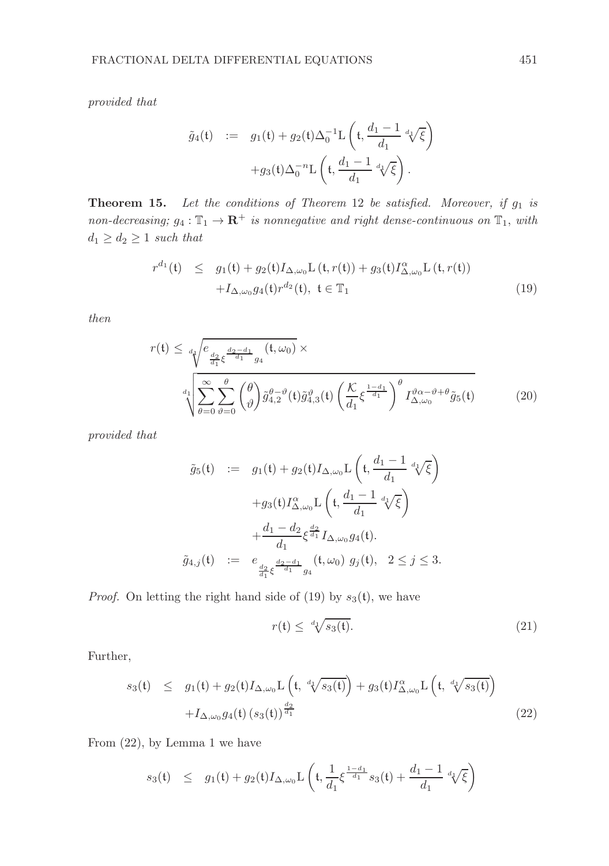provided that

$$
\tilde{g}_4(\mathfrak{t}) \quad := \quad g_1(\mathfrak{t}) + g_2(\mathfrak{t}) \Delta_0^{-1} \mathcal{L} \left( \mathfrak{t}, \frac{d_1 - 1}{d_1} \sqrt[d_1]{\xi} \right) \\
+ g_3(\mathfrak{t}) \Delta_0^{-n} \mathcal{L} \left( \mathfrak{t}, \frac{d_1 - 1}{d_1} \sqrt[d_1]{\xi} \right).
$$

**Theorem 15.** Let the conditions of Theorem 12 be satisfied. Moreover, if  $g_1$  is non-decreasing;  $g_4: \mathbb{T}_1 \to \mathbb{R}^+$  is nonnegative and right dense-continuous on  $\mathbb{T}_1$ , with  $d_1 \geq d_2 \geq 1$  such that

$$
r^{d_1}(\mathfrak{t}) \leq g_1(\mathfrak{t}) + g_2(\mathfrak{t}) I_{\Delta,\omega_0} \mathcal{L}(\mathfrak{t}, r(\mathfrak{t})) + g_3(\mathfrak{t}) I_{\Delta,\omega_0}^{\alpha} \mathcal{L}(\mathfrak{t}, r(\mathfrak{t})) + I_{\Delta,\omega_0} g_4(\mathfrak{t}) r^{d_2}(\mathfrak{t}), \ \mathfrak{t} \in \mathbb{T}_1
$$
\n(19)

then

$$
r(\mathfrak{t}) \leq \frac{1}{4\sqrt{\frac{e_{\frac{d_2}{d_1}\xi}^{\frac{d_2-d_1}{d_1}}g_4(\mathfrak{t},\omega_0)}{e_{\theta_0}\xi}} \times \sqrt{\sum_{\theta=0}^{\infty} \sum_{\vartheta=0}^{\theta} \binom{\theta}{\vartheta} \tilde{g}_{4,2}^{\theta-\vartheta}(\mathfrak{t}) \tilde{g}_{4,3}^{\vartheta}(\mathfrak{t}) \left(\frac{\mathcal{K}}{d_1}\xi^{\frac{1-d_1}{d_1}}\right)^{\theta} I_{\Delta,\omega_0}^{\vartheta\alpha-\vartheta+\theta} \tilde{g}_5(\mathfrak{t})}
$$
(20)

provided that

$$
\tilde{g}_5(\mathfrak{t}) := g_1(\mathfrak{t}) + g_2(\mathfrak{t}) I_{\Delta,\omega_0} \mathcal{L}\left(\mathfrak{t}, \frac{d_1 - 1}{d_1} \sqrt[d]{\xi}\right)
$$

$$
+ g_3(\mathfrak{t}) I_{\Delta,\omega_0}^{\alpha} \mathcal{L}\left(\mathfrak{t}, \frac{d_1 - 1}{d_1} \sqrt[d]{\xi}\right)
$$

$$
+ \frac{d_1 - d_2}{d_1} \xi^{\frac{d_2}{d_1}} I_{\Delta,\omega_0} g_4(\mathfrak{t}).
$$

$$
\tilde{g}_{4,j}(\mathfrak{t}) := e_{\frac{d_2}{d_1}\xi^{\frac{d_2 - d_1}{d_1}} g_4}(\mathfrak{t}, \omega_0) g_j(\mathfrak{t}), \quad 2 \le j \le 3.
$$

*Proof.* On letting the right hand side of (19) by  $s_3(t)$ , we have

$$
r(\mathfrak{t}) \leq \sqrt[d+1]{s_3(\mathfrak{t})}.\tag{21}
$$

Further,

$$
s_3(\mathfrak{t}) \leq g_1(\mathfrak{t}) + g_2(\mathfrak{t}) I_{\Delta,\omega_0} \mathcal{L}\left(\mathfrak{t}, \sqrt[d_1]{s_3(\mathfrak{t})}\right) + g_3(\mathfrak{t}) I_{\Delta,\omega_0}^{\alpha} \mathcal{L}\left(\mathfrak{t}, \sqrt[d_1]{s_3(\mathfrak{t})}\right) + I_{\Delta,\omega_0} g_4(\mathfrak{t}) \left(s_3(\mathfrak{t})\right)^{\frac{d_2}{d_1}}
$$
\n(22)

From (22), by Lemma 1 we have

$$
s_3({\mathfrak t})\quad \leq\quad g_1({\mathfrak t})+g_2({\mathfrak t}) I_{\Delta,\omega_0} {\rm L}\left({\mathfrak t},\frac{1}{d_1}\xi^{\frac{1-d_1}{d_1}}s_3({\mathfrak t})+\frac{d_1-1}{d_1}\sqrt[d_1]{\xi}\right)
$$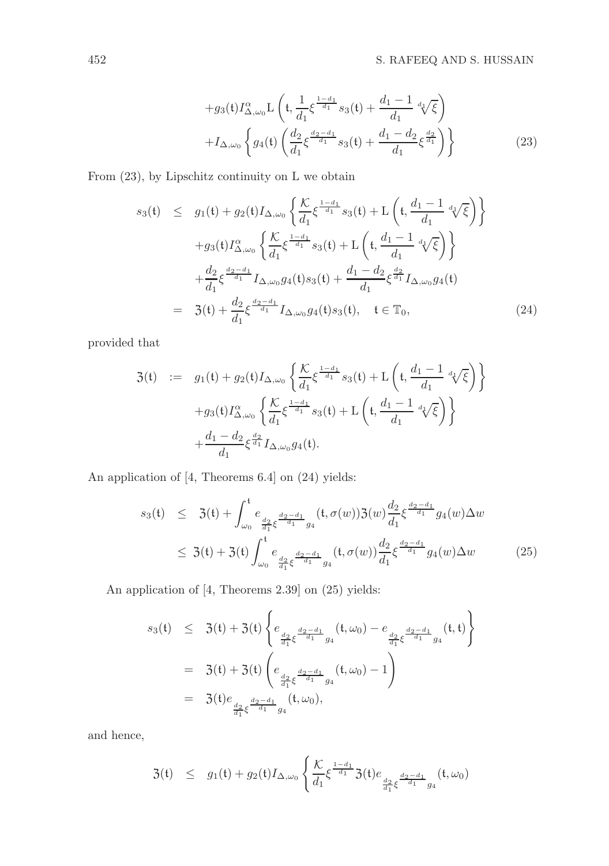$$
+g_3(t)I_{\Delta,\omega_0}^{\alpha}L\left(t,\frac{1}{d_1}\xi^{\frac{1-d_1}{d_1}}s_3(t)+\frac{d_1-1}{d_1}d_1\sqrt{\xi}\right) +I_{\Delta,\omega_0}\left\{g_4(t)\left(\frac{d_2}{d_1}\xi^{\frac{d_2-d_1}{d_1}}s_3(t)+\frac{d_1-d_2}{d_1}\xi^{\frac{d_2}{d_1}}\right)\right\}
$$
(23)

From (23), by Lipschitz continuity on L we obtain

$$
s_3(t) \leq g_1(t) + g_2(t)I_{\Delta,\omega_0} \left\{ \frac{\mathcal{K}}{d_1} \xi^{\frac{1-d_1}{d_1}} s_3(t) + \mathcal{L}\left(t, \frac{d_1 - 1}{d_1} \sqrt[d]{\xi}\right) \right\} + g_3(t)I_{\Delta,\omega_0}^{\alpha} \left\{ \frac{\mathcal{K}}{d_1} \xi^{\frac{1-d_1}{d_1}} s_3(t) + \mathcal{L}\left(t, \frac{d_1 - 1}{d_1} \sqrt[d]{\xi}\right) \right\} + \frac{d_2}{d_1} \xi^{\frac{d_2 - d_1}{d_1}} I_{\Delta,\omega_0} g_4(t) s_3(t) + \frac{d_1 - d_2}{d_1} \xi^{\frac{d_2}{d_1}} I_{\Delta,\omega_0} g_4(t) = \mathfrak{Z}(t) + \frac{d_2}{d_1} \xi^{\frac{d_2 - d_1}{d_1}} I_{\Delta,\omega_0} g_4(t) s_3(t), \quad t \in \mathbb{T}_0,
$$
\n(24)

provided that

$$
3(t) := g_1(t) + g_2(t)I_{\Delta,\omega_0}\left\{\frac{\mathcal{K}}{d_1}\xi^{\frac{1-d_1}{d_1}}s_3(t) + L\left(t, \frac{d_1-1}{d_1} \sqrt[d]{\xi}\right)\right\}
$$

$$
+ g_3(t)I_{\Delta,\omega_0}^{\alpha}\left\{\frac{\mathcal{K}}{d_1}\xi^{\frac{1-d_1}{d_1}}s_3(t) + L\left(t, \frac{d_1-1}{d_1} \sqrt[d]{\xi}\right)\right\}
$$

$$
+\frac{d_1-d_2}{d_1}\xi^{\frac{d_2}{d_1}}I_{\Delta,\omega_0}g_4(t).
$$

An application of [4, Theorems 6.4] on (24) yields:

$$
s_3(\mathfrak{t}) \leq 3(\mathfrak{t}) + \int_{\omega_0}^{\mathfrak{t}} e_{\frac{d_2}{d_1}\xi^{\frac{d_2 - d_1}{d_1}}g_4}(\mathfrak{t}, \sigma(w))3(w) \frac{d_2}{d_1}\xi^{\frac{d_2 - d_1}{d_1}}g_4(w) \Delta w
$$
  

$$
\leq 3(\mathfrak{t}) + 3(\mathfrak{t}) \int_{\omega_0}^{\mathfrak{t}} e_{\frac{d_2}{d_1}\xi^{\frac{d_2 - d_1}{d_1}}g_4}(\mathfrak{t}, \sigma(w)) \frac{d_2}{d_1}\xi^{\frac{d_2 - d_1}{d_1}}g_4(w) \Delta w \qquad (25)
$$

An application of [4, Theorems 2.39] on (25) yields:

$$
s_3(t) \leq 3(t) + 3(t) \left\{ e_{\frac{d_2}{d_1} \xi^{\frac{d_2 - d_1}{d_1}} g_4}(t, \omega_0) - e_{\frac{d_2}{d_1} \xi^{\frac{d_2 - d_1}{d_1}} g_4}(t, t) \right\}
$$
  
= 3(t) + 3(t) \left( e\_{\frac{d\_2}{d\_1} \xi^{\frac{d\_2 - d\_1}{d\_1}} g\_4}(t, \omega\_0) - 1 \right)  
= 3(t) e\_{\frac{d\_2}{d\_1} \xi^{\frac{d\_2 - d\_1}{d\_1}} g\_4}(t, \omega\_0),

and hence,

$$
3(t) \leq g_1(t) + g_2(t) I_{\Delta,\omega_0} \left\{ \frac{\mathcal{K}}{d_1} \xi^{\frac{1-d_1}{d_1}} 3(t) e_{\frac{d_2}{d_1} \xi^{\frac{d_2-d_1}{d_1}} g_4}(t,\omega_0) \right\}
$$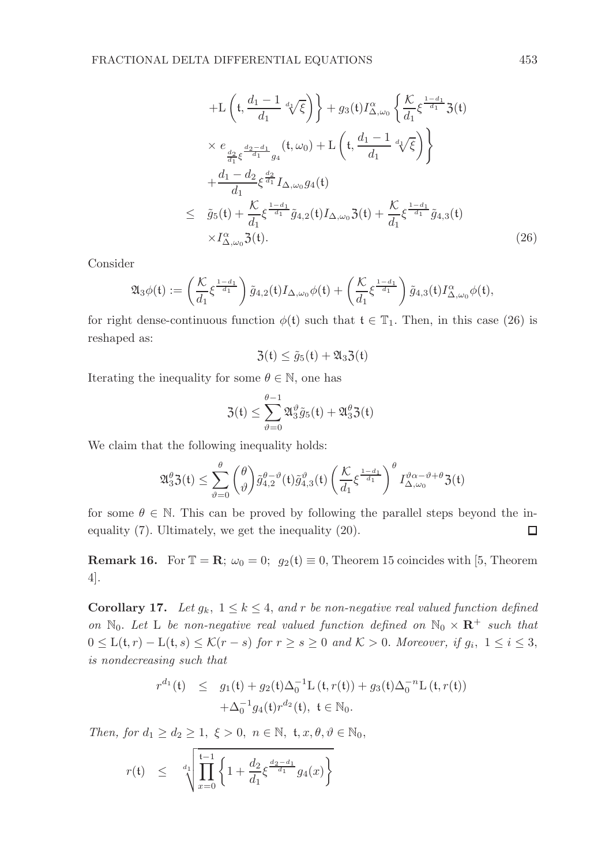+L 
$$
\left(t, \frac{d_1 - 1}{d_1} \sqrt[d_i]{\xi}\right)
$$
 +  $g_3(t)I_{\Delta,\omega_0}^{\alpha} \left\{\frac{\mathcal{K}}{d_1} \xi^{\frac{1-d_1}{d_1}} 3(t)$   
\n $\times e_{\frac{d_2}{d_1}\xi^{\frac{d_2 - d_1}{d_1}} g_4}(t, \omega_0) + L\left(t, \frac{d_1 - 1}{d_1} \sqrt[d_i]{\xi}\right)\right\}$   
\n+ $\frac{d_1 - d_2}{d_1} \xi^{\frac{d_2}{d_1}} I_{\Delta,\omega_0} g_4(t)$   
\n $\leq \tilde{g}_5(t) + \frac{\mathcal{K}}{d_1} \xi^{\frac{1-d_1}{d_1}} \tilde{g}_{4,2}(t) I_{\Delta,\omega_0} 3(t) + \frac{\mathcal{K}}{d_1} \xi^{\frac{1-d_1}{d_1}} \tilde{g}_{4,3}(t)$   
\n $\times I_{\Delta,\omega_0}^{\alpha} 3(t).$  (26)

Consider

$$
\mathfrak{A}_3 \phi(\mathfrak{t}) := \left( \frac{\mathcal{K}}{d_1} \xi^{\frac{1-d_1}{d_1}} \right) \tilde{g}_{4,2}(\mathfrak{t}) I_{\Delta,\omega_0} \phi(\mathfrak{t}) + \left( \frac{\mathcal{K}}{d_1} \xi^{\frac{1-d_1}{d_1}} \right) \tilde{g}_{4,3}(\mathfrak{t}) I_{\Delta,\omega_0}^{\alpha} \phi(\mathfrak{t}),
$$

for right dense-continuous function  $\phi(t)$  such that  $t \in \mathbb{T}_1$ . Then, in this case (26) is reshaped as:

$$
\mathfrak{Z}(\mathfrak{t}) \leq \tilde{g}_5(\mathfrak{t}) + \mathfrak{A}_3 \mathfrak{Z}(\mathfrak{t})
$$

Iterating the inequality for some  $\theta \in \mathbb{N}$ , one has

$$
\mathfrak{Z}(\mathfrak{t})\leq \sum_{\vartheta=0}^{\theta-1}\mathfrak{A}_3^\vartheta \tilde{g}_5(\mathfrak{t})+\mathfrak{A}_3^\theta \mathfrak{Z}(\mathfrak{t})
$$

We claim that the following inequality holds:

$$
\mathfrak{A}_{3}^{\theta}\mathfrak{Z}(\mathfrak{t}) \leq \sum_{\vartheta=0}^{\theta} {\theta \choose \vartheta} \tilde{g}_{4,2}^{\theta-\vartheta}(\mathfrak{t}) \tilde{g}_{4,3}^{\vartheta}(\mathfrak{t}) \left(\frac{\mathcal{K}}{d_{1}} \xi^{\frac{1-d_{1}}{d_{1}}}\right)^{\theta} I_{\Delta,\omega_{0}}^{\vartheta\alpha-\vartheta+\theta}\mathfrak{Z}(\mathfrak{t})
$$

for some  $\theta \in \mathbb{N}$ . This can be proved by following the parallel steps beyond the inequality (7). Ultimately, we get the inequality (20).  $\Box$ 

**Remark 16.** For  $\mathbb{T} = \mathbb{R}$ ;  $\omega_0 = 0$ ;  $q_2(t) \equiv 0$ , Theorem 15 coincides with [5, Theorem 4].

**Corollary 17.** Let  $g_k$ ,  $1 \leq k \leq 4$ , and r be non-negative real valued function defined on  $\mathbb{N}_0$ . Let L be non-negative real valued function defined on  $\mathbb{N}_0 \times \mathbb{R}^+$  such that  $0 \leq L(t,r) - L(t,s) \leq K(r-s)$  for  $r \geq s \geq 0$  and  $K > 0$ . Moreover, if  $g_i$ ,  $1 \leq i \leq 3$ , is nondecreasing such that

$$
r^{d_1}(\mathfrak{t}) \leq g_1(\mathfrak{t}) + g_2(\mathfrak{t})\Delta_0^{-1}L(\mathfrak{t}, r(\mathfrak{t})) + g_3(\mathfrak{t})\Delta_0^{-n}L(\mathfrak{t}, r(\mathfrak{t})) + \Delta_0^{-1}g_4(\mathfrak{t})r^{d_2}(\mathfrak{t}), \ \mathfrak{t} \in \mathbb{N}_0.
$$

Then, for  $d_1 \geq d_2 \geq 1$ ,  $\xi > 0$ ,  $n \in \mathbb{N}$ ,  $t, x, \theta, \vartheta \in \mathbb{N}_0$ ,

$$
r(\mathbf{t}) \leq \sqrt{\prod_{x=0}^{t-1} \left\{ 1 + \frac{d_2}{d_1} \xi^{\frac{d_2 - d_1}{d_1}} g_4(x) \right\}}
$$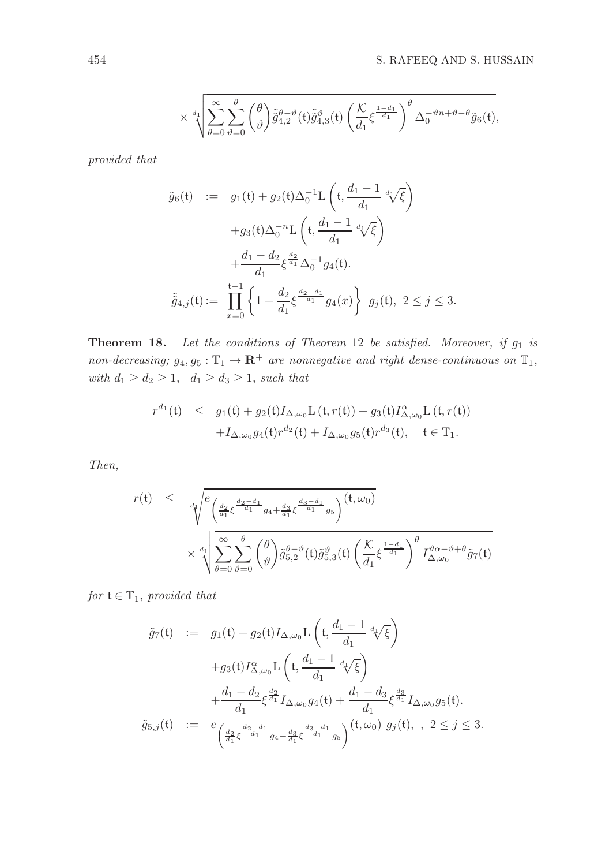$$
\times \sqrt[d_1]{\sum_{\theta=0}^{\infty}\sum_{\vartheta=0}^{\theta} \binom{\theta}{\vartheta} \tilde{\tilde{g}}_{4,2}^{\theta-\vartheta}(\mathfrak{t}) \tilde{\tilde{g}}_{4,3}^{\vartheta}(\mathfrak{t}) \left(\frac{\mathcal{K}}{d_1} \xi^{\frac{1-d_1}{d_1}}\right)^{\theta} \Delta_0^{-\vartheta n+\vartheta-\theta} \tilde{g}_6(\mathfrak{t})},
$$

provided that

$$
\tilde{g}_6(t) := g_1(t) + g_2(t)\Delta_0^{-1}L\left(t, \frac{d_1 - 1}{d_1} \sqrt[d]{\xi}\right) \n+ g_3(t)\Delta_0^{-n}L\left(t, \frac{d_1 - 1}{d_1} \sqrt[d]{\xi}\right) \n+ \frac{d_1 - d_2}{d_1} \xi^{\frac{d_2}{d_1}} \Delta_0^{-1} g_4(t).
$$
\n
$$
\tilde{g}_{4,j}(t) := \prod_{x=0}^{t-1} \left\{1 + \frac{d_2}{d_1} \xi^{\frac{d_2 - d_1}{d_1}} g_4(x)\right\} g_j(t), \ 2 \le j \le 3.
$$

**Theorem 18.** Let the conditions of Theorem 12 be satisfied. Moreover, if  $g_1$  is non-decreasing;  $g_4, g_5 : \mathbb{T}_1 \to \mathbb{R}^+$  are nonnegative and right dense-continuous on  $\mathbb{T}_1$ , with  $d_1 \geq d_2 \geq 1$ ,  $d_1 \geq d_3 \geq 1$ , such that

$$
r^{d_1}(\mathfrak{t}) \leq g_1(\mathfrak{t}) + g_2(\mathfrak{t}) I_{\Delta,\omega_0} \mathcal{L}(\mathfrak{t}, r(\mathfrak{t})) + g_3(\mathfrak{t}) I_{\Delta,\omega_0}^{\alpha} \mathcal{L}(\mathfrak{t}, r(\mathfrak{t})) + I_{\Delta,\omega_0} g_4(\mathfrak{t}) r^{d_2}(\mathfrak{t}) + I_{\Delta,\omega_0} g_5(\mathfrak{t}) r^{d_3}(\mathfrak{t}), \quad \mathfrak{t} \in \mathbb{T}_1.
$$

Then,

$$
r(t) \leq \sqrt[4]{\frac{e^{\frac{d_2}{d_1} \xi^{\frac{d_2-d_1}{d_1}} g_4 + \frac{d_3}{d_1} \xi^{\frac{d_3-d_1}{d_1}} g_5}}\times \sqrt[4]{\frac{\left(\sum_{\theta=0}^{\infty} \sum_{\theta=0}^{\theta} \binom{\theta}{\theta} \tilde{g}_{5,2}^{\theta - \vartheta}(t) \tilde{g}_{5,3}^{\vartheta}(t) \left(\frac{\mathcal{K}}{d_1} \xi^{\frac{1-d_1}{d_1}}\right)^{\theta} I_{\Delta,\omega_0}^{\vartheta \alpha - \vartheta + \theta} \tilde{g}_7(t)}}
$$

for  $\mathfrak{t} \in \mathbb{T}_1$ , provided that

$$
\tilde{g}_{7}(t) := g_{1}(t) + g_{2}(t)I_{\Delta,\omega_{0}}L\left(t, \frac{d_{1}-1}{d_{1}} \sqrt[d]{\xi}\right) \n+g_{3}(t)I_{\Delta,\omega_{0}}^{\alpha}L\left(t, \frac{d_{1}-1}{d_{1}} \sqrt[d]{\xi}\right) \n+ \frac{d_{1}-d_{2}}{d_{1}} \xi^{\frac{d_{2}}{d_{1}}}I_{\Delta,\omega_{0}}g_{4}(t) + \frac{d_{1}-d_{3}}{d_{1}} \xi^{\frac{d_{3}}{d_{1}}}I_{\Delta,\omega_{0}}g_{5}(t) \n\tilde{g}_{5,j}(t) := e_{\left(\frac{d_{2}}{d_{1}}\xi^{\frac{d_{2}-d_{1}}{d_{1}}}g_{4} + \frac{d_{3}}{d_{1}}\xi^{\frac{d_{3}-d_{1}}{d_{1}}}g_{5}\right)}(t, \omega_{0}) g_{j}(t), \quad 2 \leq j \leq 3.
$$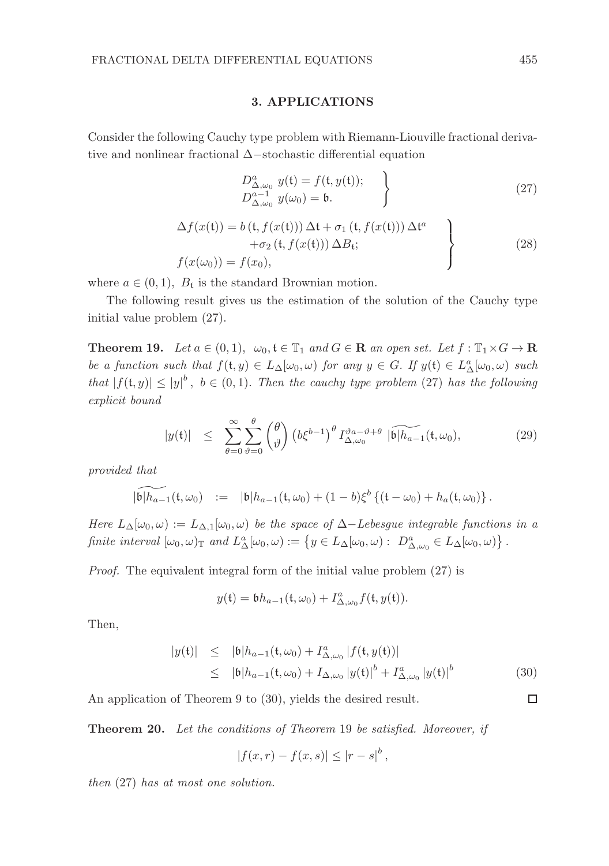#### 3. APPLICATIONS

Consider the following Cauchy type problem with Riemann-Liouville fractional derivative and nonlinear fractional ∆−stochastic differential equation

$$
D_{\Delta,\omega_0}^a y(\mathfrak{t}) = f(\mathfrak{t}, y(\mathfrak{t}));
$$
  
\n
$$
D_{\Delta,\omega_0}^{a-1} y(\omega_0) = \mathfrak{b}.
$$
\n(27)

$$
\Delta f(x(\mathbf{t})) = b(\mathbf{t}, f(x(\mathbf{t}))) \Delta \mathbf{t} + \sigma_1 (\mathbf{t}, f(x(\mathbf{t}))) \Delta \mathbf{t}^a \n+ \sigma_2 (\mathbf{t}, f(x(\mathbf{t}))) \Delta B_{\mathbf{t}}; \nf(x(\omega_0)) = f(x_0),
$$
\n(28)

where  $a \in (0,1)$ ,  $B_t$  is the standard Brownian motion.

The following result gives us the estimation of the solution of the Cauchy type initial value problem (27).

**Theorem 19.** Let  $a \in (0,1)$ ,  $\omega_0, t \in \mathbb{T}_1$  and  $G \in \mathbb{R}$  an open set. Let  $f : \mathbb{T}_1 \times G \to \mathbb{R}$ be a function such that  $f(t, y) \in L_{\Delta}[\omega_0, \omega)$  for any  $y \in G$ . If  $y(t) \in L_{\Delta}^a[\omega_0, \omega)$  such that  $|f(t, y)| \le |y|^b$ ,  $b \in (0, 1)$ . Then the cauchy type problem (27) has the following explicit bound

$$
|y(t)| \leq \sum_{\theta=0}^{\infty} \sum_{\vartheta=0}^{\theta} {\theta \choose \vartheta} \left(b\xi^{b-1}\right)^{\theta} I_{\Delta,\omega_0}^{\vartheta a-\vartheta+\theta} \widetilde{|\mathfrak{b}| h_{a-1}}(\mathfrak{t},\omega_0), \tag{29}
$$

provided that

$$
\widetilde{\left|\mathfrak{b}\right| h_{a-1}(\mathfrak{t},\omega_0)} \ := \ |\mathfrak{b}| h_{a-1}(\mathfrak{t},\omega_0) + (1-b)\xi^b \left\{ (\mathfrak{t} - \omega_0) + h_a(\mathfrak{t},\omega_0) \right\}.
$$

Here  $L_{\Delta}[\omega_0,\omega] := L_{\Delta,1}[\omega_0,\omega)$  be the space of  $\Delta$ -Lebesgue integrable functions in a finite interval  $[\omega_0, \omega]_{\mathbb{T}}$  and  $L^a_{\Delta}[\omega_0, \omega) := \{ y \in L_{\Delta}[\omega_0, \omega) : D^a_{\Delta, \omega_0} \in L_{\Delta}[\omega_0, \omega) \}.$ 

Proof. The equivalent integral form of the initial value problem (27) is

$$
y(\mathfrak{t}) = \mathfrak{b}h_{a-1}(\mathfrak{t},\omega_0) + I^a_{\Delta,\omega_0}f(\mathfrak{t},y(\mathfrak{t})).
$$

Then,

$$
|y(t)| \leq |b|h_{a-1}(t,\omega_0) + I^a_{\Delta,\omega_0} |f(t,y(t))|
$$
  
\n
$$
\leq |b|h_{a-1}(t,\omega_0) + I_{\Delta,\omega_0} |y(t)|^b + I^a_{\Delta,\omega_0} |y(t)|^b
$$
 (30)

An application of Theorem 9 to (30), yields the desired result.

Theorem 20. Let the conditions of Theorem 19 be satisfied. Moreover, if

$$
|f(x,r) - f(x,s)| \le |r - s|^b,
$$

then (27) has at most one solution.

 $\Box$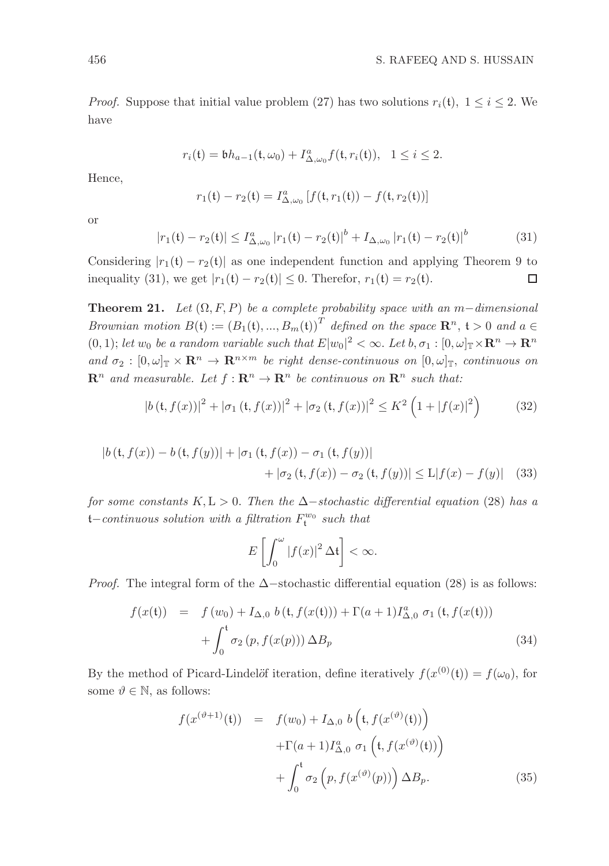*Proof.* Suppose that initial value problem (27) has two solutions  $r_i(t)$ ,  $1 \le i \le 2$ . We have

$$
r_i(\mathfrak{t}) = \mathfrak{b} h_{a-1}(\mathfrak{t}, \omega_0) + I^a_{\Delta, \omega_0} f(\mathfrak{t}, r_i(\mathfrak{t})), \quad 1 \le i \le 2.
$$

Hence,

$$
r_1(\mathfrak{t}) - r_2(\mathfrak{t}) = I^a_{\Delta,\omega_0} \left[ f(\mathfrak{t},r_1(\mathfrak{t})) - f(\mathfrak{t},r_2(\mathfrak{t})) \right]
$$

or

$$
|r_1(\mathfrak{t}) - r_2(\mathfrak{t})| \le I_{\Delta,\omega_0}^a |r_1(\mathfrak{t}) - r_2(\mathfrak{t})|^b + I_{\Delta,\omega_0} |r_1(\mathfrak{t}) - r_2(\mathfrak{t})|^b \tag{31}
$$

Considering  $|r_1(t) - r_2(t)|$  as one independent function and applying Theorem 9 to inequality (31), we get  $|r_1(t) - r_2(t)| \le 0$ . Therefor,  $r_1(t) = r_2(t)$ .  $\Box$ 

**Theorem 21.** Let  $(\Omega, F, P)$  be a complete probability space with an m−dimensional Brownian motion  $B(t) := (B_1(t), ..., B_m(t))^T$  defined on the space  $\mathbb{R}^n$ ,  $t > 0$  and  $a \in$  $(0,1)$ ; let  $w_0$  be a random variable such that  $E|w_0|^2 < \infty$ . Let  $b, \sigma_1 : [0, \omega]_{\mathbb{T}} \times \mathbb{R}^n \to \mathbb{R}^n$ and  $\sigma_2 : [0, \omega]_{\mathbb{T}} \times \mathbb{R}^n \to \mathbb{R}^{n \times m}$  be right dense-continuous on  $[0, \omega]_{\mathbb{T}}$ , continuous on  $\mathbb{R}^n$  and measurable. Let  $f : \mathbb{R}^n \to \mathbb{R}^n$  be continuous on  $\mathbb{R}^n$  such that:

$$
|b(t, f(x))|^2 + |\sigma_1(t, f(x))|^2 + |\sigma_2(t, f(x))|^2 \le K^2 \left(1 + |f(x)|^2\right) \tag{32}
$$

$$
|b(t, f(x)) - b(t, f(y))| + |\sigma_1(t, f(x)) - \sigma_1(t, f(y))|
$$
  
+  $|\sigma_2(t, f(x)) - \sigma_2(t, f(y))| \le L|f(x) - f(y)|$  (33)

for some constants K, L > 0. Then the  $\Delta$ −stochastic differential equation (28) has a t–continuous solution with a filtration  $F_{\mathfrak{t}}^{w_0}$  such that

$$
E\left[\int_0^\omega |f(x)|^2 \, \Delta \mathfrak{t}\right] < \infty.
$$

*Proof.* The integral form of the  $\Delta$ −stochastic differential equation (28) is as follows:

$$
f(x(t)) = f(w_0) + I_{\Delta,0} b(t, f(x(t))) + \Gamma(a+1)I_{\Delta,0}^a \sigma_1(t, f(x(t))) + \int_0^t \sigma_2(p, f(x(p))) \Delta B_p
$$
\n(34)

By the method of Picard-Lindelöf iteration, define iteratively  $f(x^{(0)}(t)) = f(\omega_0)$ , for some  $\vartheta \in \mathbb{N}$ , as follows:

$$
f(x^{(\vartheta+1)}(t)) = f(w_0) + I_{\Delta,0} b\left(t, f(x^{(\vartheta)}(t))\right)
$$

$$
+ \Gamma(a+1)I_{\Delta,0}^a \sigma_1\left(t, f(x^{(\vartheta)}(t))\right)
$$

$$
+ \int_0^t \sigma_2\left(p, f(x^{(\vartheta)}(p))\right) \Delta B_p. \tag{35}
$$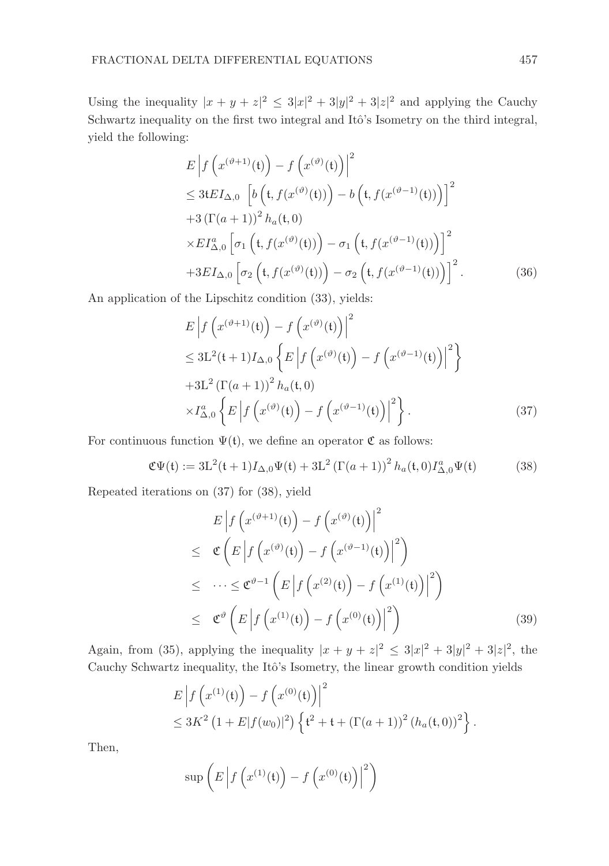Using the inequality  $|x + y + z|^2 \leq 3|x|^2 + 3|y|^2 + 3|z|^2$  and applying the Cauchy Schwartz inequality on the first two integral and Itô's Isometry on the third integral, yield the following:

$$
E\left|f\left(x^{(\vartheta+1)}(\mathfrak{t})\right)-f\left(x^{(\vartheta)}(\mathfrak{t})\right)\right|^2
$$
  
\n
$$
\leq 3tEI_{\Delta,0}\left[b\left(\mathfrak{t},f(x^{(\vartheta)}(\mathfrak{t}))\right)-b\left(\mathfrak{t},f(x^{(\vartheta-1)}(\mathfrak{t}))\right)\right]^2
$$
  
\n
$$
+3\left(\Gamma(a+1)\right)^2h_a(\mathfrak{t},0)
$$
  
\n
$$
\times EI_{\Delta,0}^a\left[\sigma_1\left(\mathfrak{t},f(x^{(\vartheta)}(\mathfrak{t}))\right)-\sigma_1\left(\mathfrak{t},f(x^{(\vartheta-1)}(\mathfrak{t}))\right)\right]^2
$$
  
\n
$$
+3EI_{\Delta,0}\left[\sigma_2\left(\mathfrak{t},f(x^{(\vartheta)}(\mathfrak{t}))\right)-\sigma_2\left(\mathfrak{t},f(x^{(\vartheta-1)}(\mathfrak{t}))\right)\right]^2.
$$
 (36)

An application of the Lipschitz condition (33), yields:

$$
E\left|f\left(x^{(\vartheta+1)}(\mathfrak{t})\right) - f\left(x^{(\vartheta)}(\mathfrak{t})\right)\right|^2
$$
  
\n
$$
\leq 3L^2(\mathfrak{t}+1)I_{\Delta,0}\left\{E\left|f\left(x^{(\vartheta)}(\mathfrak{t})\right) - f\left(x^{(\vartheta-1)}(\mathfrak{t})\right)\right|^2\right\}
$$
  
\n
$$
+3L^2\left(\Gamma(a+1)\right)^2 h_a(\mathfrak{t},0)
$$
  
\n
$$
\times I_{\Delta,0}^a\left\{E\left|f\left(x^{(\vartheta)}(\mathfrak{t})\right) - f\left(x^{(\vartheta-1)}(\mathfrak{t})\right)\right|^2\right\}.
$$
\n(37)

For continuous function  $\Psi(\mathfrak{t})$ , we define an operator  $\mathfrak C$  as follows:

$$
\mathfrak{C}\Psi(\mathfrak{t}) := 3L^2(\mathfrak{t}+1)I_{\Delta,0}\Psi(\mathfrak{t}) + 3L^2\left(\Gamma(a+1)\right)^2 h_a(\mathfrak{t},0)I_{\Delta,0}^a\Psi(\mathfrak{t})
$$
(38)

Repeated iterations on (37) for (38), yield

$$
E\left|f\left(x^{(\vartheta+1)}(\mathfrak{t})\right) - f\left(x^{(\vartheta)}(\mathfrak{t})\right)\right|^2
$$
\n
$$
\leq \mathfrak{C}\left(E\left|f\left(x^{(\vartheta)}(\mathfrak{t})\right) - f\left(x^{(\vartheta-1)}(\mathfrak{t})\right)\right|^2\right)
$$
\n
$$
\leq \cdots \leq \mathfrak{C}^{\vartheta-1}\left(E\left|f\left(x^{(2)}(\mathfrak{t})\right) - f\left(x^{(1)}(\mathfrak{t})\right)\right|^2\right)
$$
\n
$$
\leq \mathfrak{C}^{\vartheta}\left(E\left|f\left(x^{(1)}(\mathfrak{t})\right) - f\left(x^{(0)}(\mathfrak{t})\right)\right|^2\right) \tag{39}
$$

Again, from (35), applying the inequality  $|x + y + z|^2 \leq 3|x|^2 + 3|y|^2 + 3|z|^2$ , the Cauchy Schwartz inequality, the Itô's Isometry, the linear growth condition yields

$$
E\left|f\left(x^{(1)}(t)\right) - f\left(x^{(0)}(t)\right)\right|^2
$$
  
\n
$$
\leq 3K^2 \left(1 + E|f(w_0)|^2\right) \left\{t^2 + t + \left(\Gamma(a+1)\right)^2 \left(h_a(t,0)\right)^2\right\}.
$$

Then,

$$
\sup\left(E\left|f\left(x^{(1)}(\mathfrak{t})\right)-f\left(x^{(0)}(\mathfrak{t})\right)\right|^2\right)
$$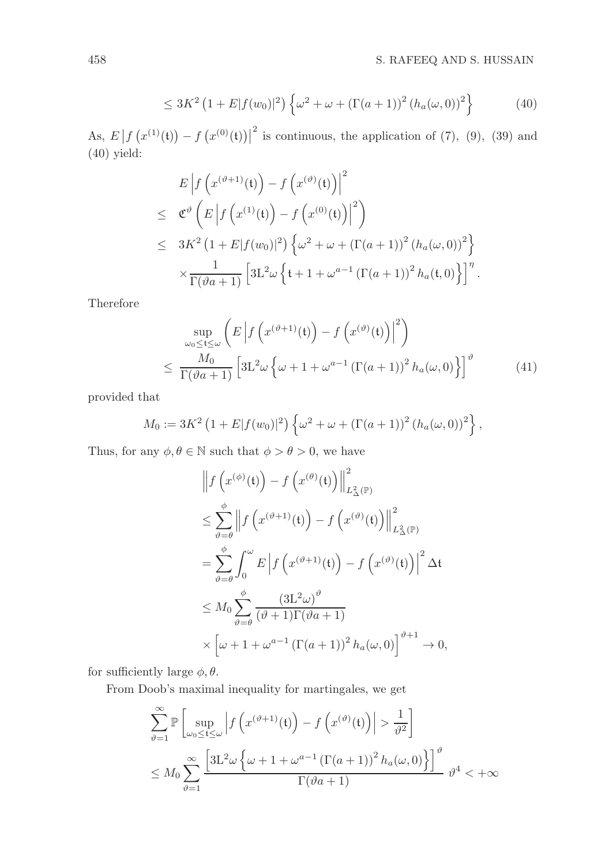$$
\leq 3K^2 \left(1 + E|f(w_0)|^2\right) \left\{\omega^2 + \omega + \left(\Gamma(a+1)\right)^2 \left(h_a(\omega, 0)\right)^2\right\} \tag{40}
$$

As,  $E | f (x^{(1)}(t)) - f (x^{(0)}(t)) |$  $2^2$  is continuous, the application of (7), (9), (39) and (40) yield:

$$
E\left|f\left(x^{(\vartheta+1)}(\mathfrak{t})\right)-f\left(x^{(\vartheta)}(\mathfrak{t})\right)\right|^2
$$
\n
$$
\leq \mathfrak{C}^{\vartheta}\left(E\left|f\left(x^{(1)}(\mathfrak{t})\right)-f\left(x^{(0)}(\mathfrak{t})\right)\right|^2\right)
$$
\n
$$
\leq 3K^2\left(1+E|f(w_0)|^2\right)\left\{\omega^2+\omega+\left(\Gamma(a+1)\right)^2\left(h_a(\omega,0)\right)^2\right\}
$$
\n
$$
\times \frac{1}{\Gamma(\vartheta a+1)}\left[3L^2\omega\left\{\mathfrak{t}+1+\omega^{a-1}\left(\Gamma(a+1)\right)^2h_a(\mathfrak{t},0)\right\}\right]^{\eta}.
$$

Therefore

$$
\sup_{\omega_0 \le t \le \omega} \left( E \left| f \left( x^{(\vartheta + 1)}(t) \right) - f \left( x^{(\vartheta)}(t) \right) \right|^2 \right) \n\le \frac{M_0}{\Gamma(\vartheta a + 1)} \left[ 3L^2 \omega \left\{ \omega + 1 + \omega^{a-1} \left( \Gamma(a+1) \right)^2 h_a(\omega, 0) \right\} \right]^{\vartheta}
$$
\n(41)

provided that

$$
M_0 := 3K^2 \left(1 + E|f(w_0)|^2\right) \left\{\omega^2 + \omega + \left(\Gamma(a+1)\right)^2 \left(h_a(\omega, 0)\right)^2\right\},\,
$$

Thus, for any  $\phi, \theta \in \mathbb{N}$  such that  $\phi > \theta > 0$ , we have

$$
\left\| f \left( x^{(\phi)}(t) \right) - f \left( x^{(\theta)}(t) \right) \right\|_{L^2_{\Delta}(\mathbb{P})}^2
$$
\n
$$
\leq \sum_{\vartheta = \theta}^{\phi} \left\| f \left( x^{(\vartheta + 1)}(t) \right) - f \left( x^{(\vartheta)}(t) \right) \right\|_{L^2_{\Delta}(\mathbb{P})}^2
$$
\n
$$
= \sum_{\vartheta = \theta}^{\phi} \int_0^{\omega} E \left| f \left( x^{(\vartheta + 1)}(t) \right) - f \left( x^{(\vartheta)}(t) \right) \right|^2 \Delta t
$$
\n
$$
\leq M_0 \sum_{\vartheta = \theta}^{\phi} \frac{\left( 3L^2 \omega \right)^{\vartheta}}{\left( \vartheta + 1 \right) \Gamma(\vartheta a + 1)}
$$
\n
$$
\times \left[ \omega + 1 + \omega^{a-1} \left( \Gamma(a+1) \right)^2 h_a(\omega, 0) \right]^{\vartheta + 1} \to 0,
$$

for sufficiently large  $\phi$ ,  $\theta$ .

From Doob's maximal inequality for martingales, we get

$$
\sum_{\vartheta=1}^{\infty} \mathbb{P}\left[\sup_{\omega_0 \le t \le \omega} \left| f\left(x^{(\vartheta+1)}(t)\right) - f\left(x^{(\vartheta)}(t)\right) \right| > \frac{1}{\vartheta^2} \right]
$$
  

$$
\le M_0 \sum_{\vartheta=1}^{\infty} \frac{\left[3L^2 \omega \left\{\omega + 1 + \omega^{a-1} \left(\Gamma(a+1)\right)^2 h_a(\omega, 0)\right\}\right]^{\vartheta}}{\Gamma(\vartheta a + 1)} \vartheta^4 < +\infty
$$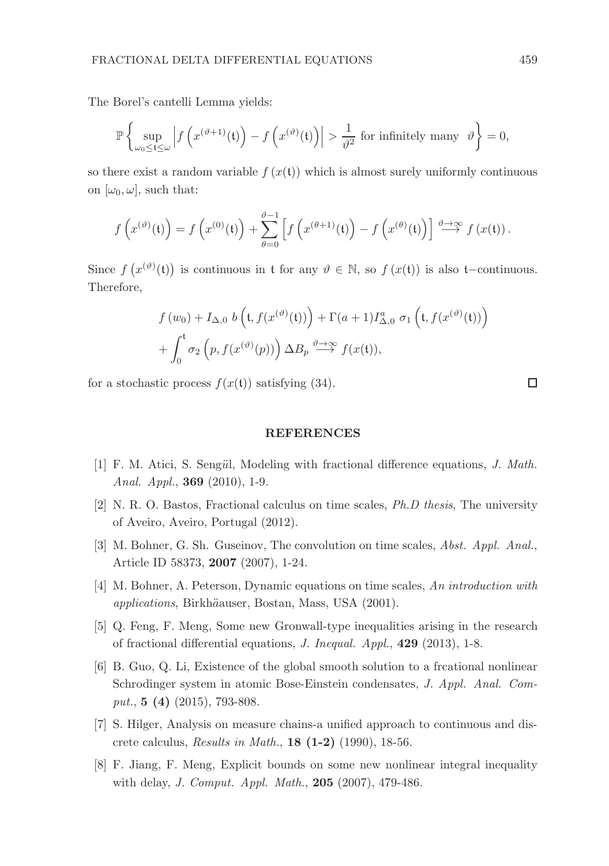The Borel's cantelli Lemma yields:

$$
\mathbb{P}\left\{\sup_{\omega_0\leq t\leq \omega}\left|f\left(x^{(\vartheta+1)}(t)\right)-f\left(x^{(\vartheta)}(t)\right)\right|>\frac{1}{\vartheta^2}\text{ for infinitely many }\vartheta\right\}=0,
$$

so there exist a random variable  $f(x(t))$  which is almost surely uniformly continuous on  $[\omega_0, \omega]$ , such that:

$$
f\left(x^{(\vartheta)}(\mathfrak{t})\right) = f\left(x^{(0)}(\mathfrak{t})\right) + \sum_{\theta=0}^{\vartheta-1} \left[ f\left(x^{(\theta+1)}(\mathfrak{t})\right) - f\left(x^{(\theta)}(\mathfrak{t})\right) \right] \stackrel{\vartheta \to \infty}{\longrightarrow} f\left(x(\mathfrak{t})\right).
$$

Since  $f(x^{(\vartheta)}(t))$  is continuous in t for any  $\vartheta \in \mathbb{N}$ , so  $f(x(t))$  is also t–continuous. Therefore,

$$
f(w_0) + I_{\Delta,0} b\left(t, f(x^{(\vartheta)}(t))\right) + \Gamma(a+1)I_{\Delta,0}^a \sigma_1\left(t, f(x^{(\vartheta)}(t))\right)
$$

$$
+ \int_0^t \sigma_2\left(p, f(x^{(\vartheta)}(p))\right) \Delta B_p \stackrel{\vartheta \to \infty}{\longrightarrow} f(x(t)),
$$

for a stochastic process  $f(x(t))$  satisfying (34).

#### REFERENCES

- [1] F. M. Atici, S. Sengül, Modeling with fractional difference equations, J. Math. Anal. Appl., 369 (2010), 1-9.
- [2] N. R. O. Bastos, Fractional calculus on time scales, Ph.D thesis, The university of Aveiro, Aveiro, Portugal (2012).
- [3] M. Bohner, G. Sh. Guseinov, The convolution on time scales, Abst. Appl. Anal., Article ID 58373, 2007 (2007), 1-24.
- [4] M. Bohner, A. Peterson, Dynamic equations on time scales, An introduction with applications, Birkh¨aauser, Bostan, Mass, USA (2001).
- [5] Q. Feng, F. Meng, Some new Gronwall-type inequalities arising in the research of fractional differential equations, J. Inequal. Appl., 429 (2013), 1-8.
- [6] B. Guo, Q. Li, Existence of the global smooth solution to a frcational nonlinear Schrodinger system in atomic Bose-Einstein condensates, J. Appl. Anal. Comput.,  $5(4)(2015)$ , 793-808.
- [7] S. Hilger, Analysis on measure chains-a unified approach to continuous and discrete calculus, Results in Math., 18 (1-2) (1990), 18-56.
- [8] F. Jiang, F. Meng, Explicit bounds on some new nonlinear integral inequality with delay, J. Comput. Appl. Math., 205 (2007), 479-486.

 $\Box$